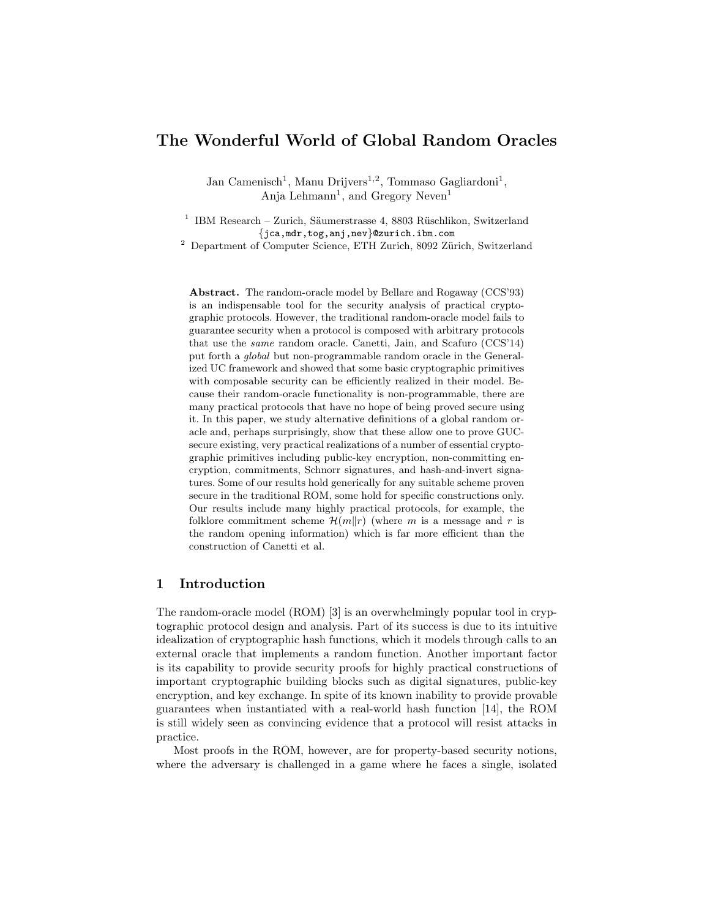# The Wonderful World of Global Random Oracles

Jan Camenisch<sup>1</sup>, Manu Drijvers<sup>1,2</sup>, Tommaso Gagliardoni<sup>1</sup>, Anja Lehmann<sup>1</sup>, and Gregory Neven<sup>1</sup>

<sup>1</sup> IBM Research – Zurich, Säumerstrasse 4, 8803 Rüschlikon, Switzerland {jca,mdr,tog,anj,nev}@zurich.ibm.com

 $2$  Department of Computer Science, ETH Zurich, 8092 Zürich, Switzerland

Abstract. The random-oracle model by Bellare and Rogaway (CCS'93) is an indispensable tool for the security analysis of practical cryptographic protocols. However, the traditional random-oracle model fails to guarantee security when a protocol is composed with arbitrary protocols that use the same random oracle. Canetti, Jain, and Scafuro (CCS'14) put forth a global but non-programmable random oracle in the Generalized UC framework and showed that some basic cryptographic primitives with composable security can be efficiently realized in their model. Because their random-oracle functionality is non-programmable, there are many practical protocols that have no hope of being proved secure using it. In this paper, we study alternative definitions of a global random oracle and, perhaps surprisingly, show that these allow one to prove GUCsecure existing, very practical realizations of a number of essential cryptographic primitives including public-key encryption, non-committing encryption, commitments, Schnorr signatures, and hash-and-invert signatures. Some of our results hold generically for any suitable scheme proven secure in the traditional ROM, some hold for specific constructions only. Our results include many highly practical protocols, for example, the folklore commitment scheme  $\mathcal{H}(m||r)$  (where m is a message and r is the random opening information) which is far more efficient than the construction of Canetti et al.

## 1 Introduction

The random-oracle model (ROM) [3] is an overwhelmingly popular tool in cryptographic protocol design and analysis. Part of its success is due to its intuitive idealization of cryptographic hash functions, which it models through calls to an external oracle that implements a random function. Another important factor is its capability to provide security proofs for highly practical constructions of important cryptographic building blocks such as digital signatures, public-key encryption, and key exchange. In spite of its known inability to provide provable guarantees when instantiated with a real-world hash function [14], the ROM is still widely seen as convincing evidence that a protocol will resist attacks in practice.

Most proofs in the ROM, however, are for property-based security notions, where the adversary is challenged in a game where he faces a single, isolated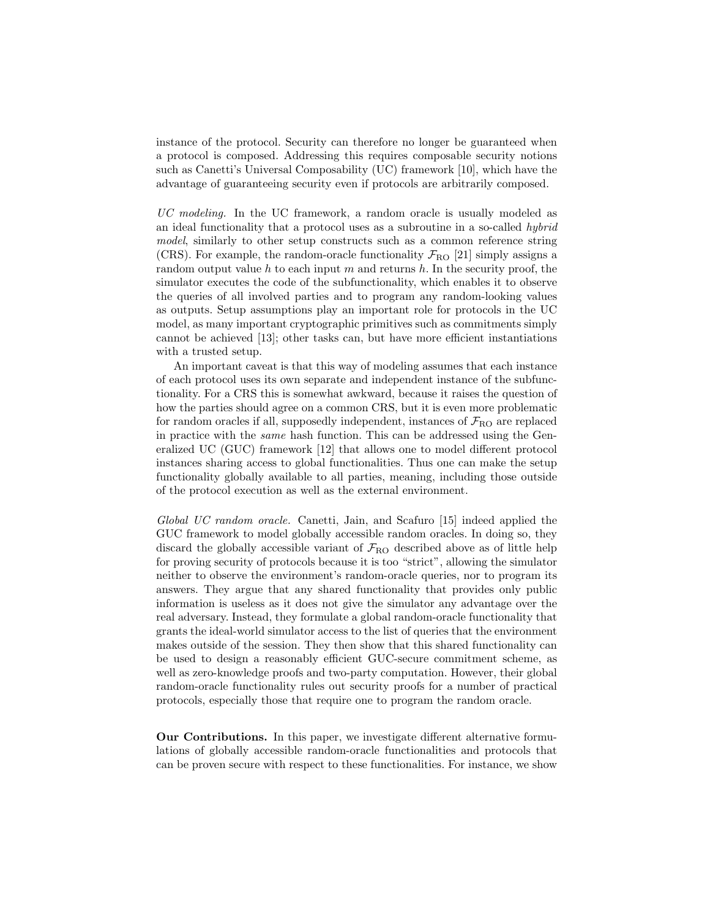instance of the protocol. Security can therefore no longer be guaranteed when a protocol is composed. Addressing this requires composable security notions such as Canetti's Universal Composability (UC) framework [10], which have the advantage of guaranteeing security even if protocols are arbitrarily composed.

UC modeling. In the UC framework, a random oracle is usually modeled as an ideal functionality that a protocol uses as a subroutine in a so-called hybrid model, similarly to other setup constructs such as a common reference string (CRS). For example, the random-oracle functionality  $\mathcal{F}_{RO}$  [21] simply assigns a random output value h to each input m and returns h. In the security proof, the simulator executes the code of the subfunctionality, which enables it to observe the queries of all involved parties and to program any random-looking values as outputs. Setup assumptions play an important role for protocols in the UC model, as many important cryptographic primitives such as commitments simply cannot be achieved [13]; other tasks can, but have more efficient instantiations with a trusted setup.

An important caveat is that this way of modeling assumes that each instance of each protocol uses its own separate and independent instance of the subfunctionality. For a CRS this is somewhat awkward, because it raises the question of how the parties should agree on a common CRS, but it is even more problematic for random oracles if all, supposedly independent, instances of  $\mathcal{F}_{\text{RO}}$  are replaced in practice with the same hash function. This can be addressed using the Generalized UC (GUC) framework [12] that allows one to model different protocol instances sharing access to global functionalities. Thus one can make the setup functionality globally available to all parties, meaning, including those outside of the protocol execution as well as the external environment.

Global UC random oracle. Canetti, Jain, and Scafuro [15] indeed applied the GUC framework to model globally accessible random oracles. In doing so, they discard the globally accessible variant of  $\mathcal{F}_{\text{RO}}$  described above as of little help for proving security of protocols because it is too "strict", allowing the simulator neither to observe the environment's random-oracle queries, nor to program its answers. They argue that any shared functionality that provides only public information is useless as it does not give the simulator any advantage over the real adversary. Instead, they formulate a global random-oracle functionality that grants the ideal-world simulator access to the list of queries that the environment makes outside of the session. They then show that this shared functionality can be used to design a reasonably efficient GUC-secure commitment scheme, as well as zero-knowledge proofs and two-party computation. However, their global random-oracle functionality rules out security proofs for a number of practical protocols, especially those that require one to program the random oracle.

Our Contributions. In this paper, we investigate different alternative formulations of globally accessible random-oracle functionalities and protocols that can be proven secure with respect to these functionalities. For instance, we show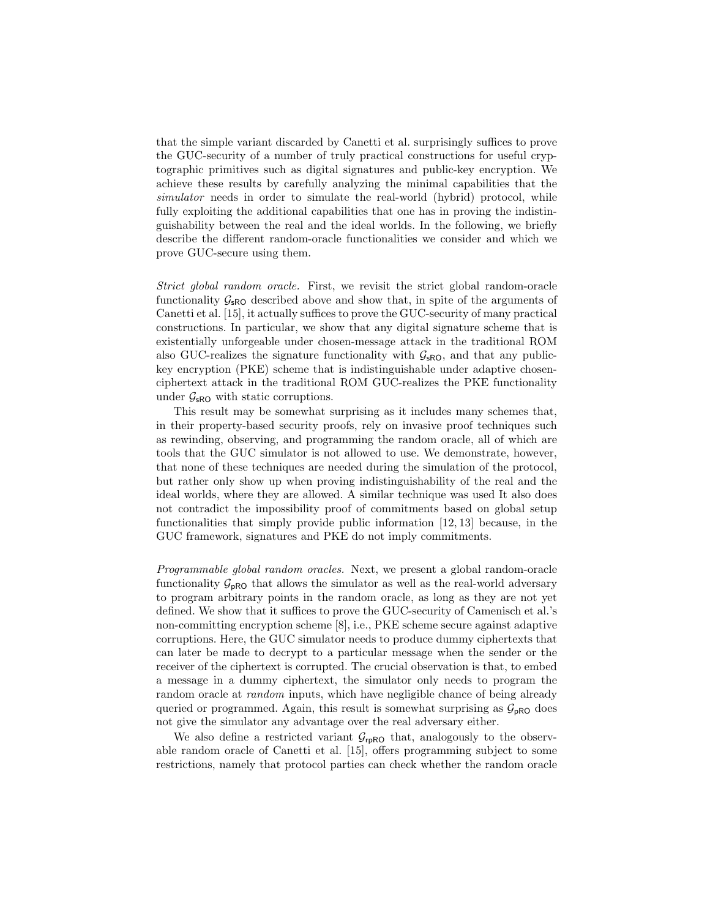that the simple variant discarded by Canetti et al. surprisingly suffices to prove the GUC-security of a number of truly practical constructions for useful cryptographic primitives such as digital signatures and public-key encryption. We achieve these results by carefully analyzing the minimal capabilities that the simulator needs in order to simulate the real-world (hybrid) protocol, while fully exploiting the additional capabilities that one has in proving the indistinguishability between the real and the ideal worlds. In the following, we briefly describe the different random-oracle functionalities we consider and which we prove GUC-secure using them.

Strict global random oracle. First, we revisit the strict global random-oracle functionality  $\mathcal{G}_{\text{sRO}}$  described above and show that, in spite of the arguments of Canetti et al. [15], it actually suffices to prove the GUC-security of many practical constructions. In particular, we show that any digital signature scheme that is existentially unforgeable under chosen-message attack in the traditional ROM also GUC-realizes the signature functionality with  $\mathcal{G}_{\text{SRO}}$ , and that any publickey encryption (PKE) scheme that is indistinguishable under adaptive chosenciphertext attack in the traditional ROM GUC-realizes the PKE functionality under  $\mathcal{G}_{\text{sRO}}$  with static corruptions.

This result may be somewhat surprising as it includes many schemes that, in their property-based security proofs, rely on invasive proof techniques such as rewinding, observing, and programming the random oracle, all of which are tools that the GUC simulator is not allowed to use. We demonstrate, however, that none of these techniques are needed during the simulation of the protocol, but rather only show up when proving indistinguishability of the real and the ideal worlds, where they are allowed. A similar technique was used It also does not contradict the impossibility proof of commitments based on global setup functionalities that simply provide public information [12, 13] because, in the GUC framework, signatures and PKE do not imply commitments.

Programmable global random oracles. Next, we present a global random-oracle functionality  $\mathcal{G}_{\text{pRO}}$  that allows the simulator as well as the real-world adversary to program arbitrary points in the random oracle, as long as they are not yet defined. We show that it suffices to prove the GUC-security of Camenisch et al.'s non-committing encryption scheme [8], i.e., PKE scheme secure against adaptive corruptions. Here, the GUC simulator needs to produce dummy ciphertexts that can later be made to decrypt to a particular message when the sender or the receiver of the ciphertext is corrupted. The crucial observation is that, to embed a message in a dummy ciphertext, the simulator only needs to program the random oracle at *random* inputs, which have negligible chance of being already queried or programmed. Again, this result is somewhat surprising as  $\mathcal{G}_{pRO}$  does not give the simulator any advantage over the real adversary either.

We also define a restricted variant  $G_{rpRO}$  that, analogously to the observable random oracle of Canetti et al. [15], offers programming subject to some restrictions, namely that protocol parties can check whether the random oracle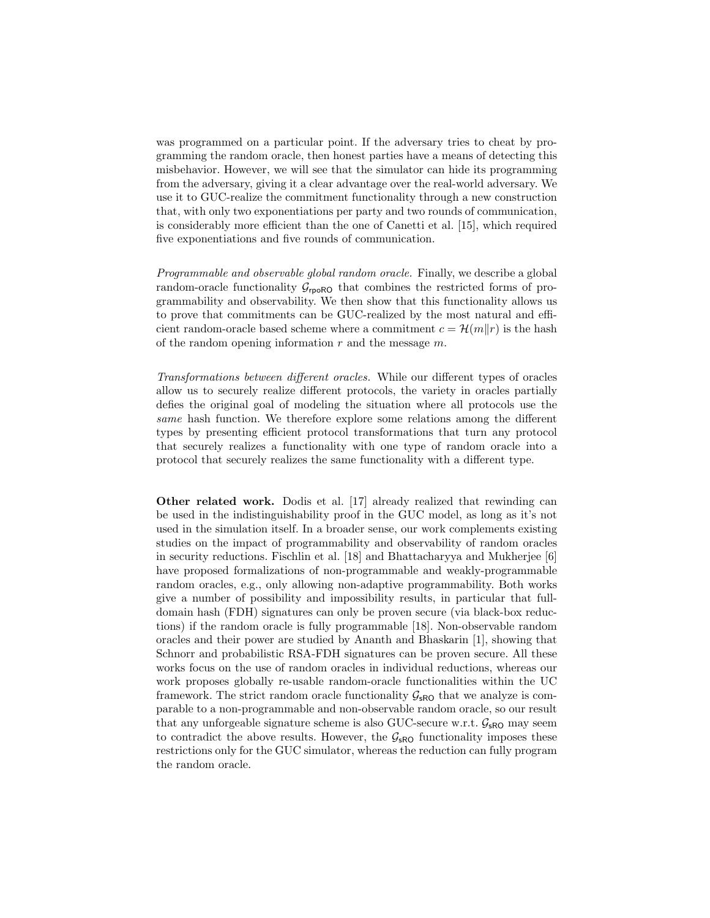was programmed on a particular point. If the adversary tries to cheat by programming the random oracle, then honest parties have a means of detecting this misbehavior. However, we will see that the simulator can hide its programming from the adversary, giving it a clear advantage over the real-world adversary. We use it to GUC-realize the commitment functionality through a new construction that, with only two exponentiations per party and two rounds of communication, is considerably more efficient than the one of Canetti et al. [15], which required five exponentiations and five rounds of communication.

Programmable and observable global random oracle. Finally, we describe a global random-oracle functionality  $G_{\text{rooRO}}$  that combines the restricted forms of programmability and observability. We then show that this functionality allows us to prove that commitments can be GUC-realized by the most natural and efficient random-oracle based scheme where a commitment  $c = \mathcal{H}(m||r)$  is the hash of the random opening information  $r$  and the message  $m$ .

Transformations between different oracles. While our different types of oracles allow us to securely realize different protocols, the variety in oracles partially defies the original goal of modeling the situation where all protocols use the same hash function. We therefore explore some relations among the different types by presenting efficient protocol transformations that turn any protocol that securely realizes a functionality with one type of random oracle into a protocol that securely realizes the same functionality with a different type.

Other related work. Dodis et al. [17] already realized that rewinding can be used in the indistinguishability proof in the GUC model, as long as it's not used in the simulation itself. In a broader sense, our work complements existing studies on the impact of programmability and observability of random oracles in security reductions. Fischlin et al. [18] and Bhattacharyya and Mukherjee [6] have proposed formalizations of non-programmable and weakly-programmable random oracles, e.g., only allowing non-adaptive programmability. Both works give a number of possibility and impossibility results, in particular that fulldomain hash (FDH) signatures can only be proven secure (via black-box reductions) if the random oracle is fully programmable [18]. Non-observable random oracles and their power are studied by Ananth and Bhaskarin [1], showing that Schnorr and probabilistic RSA-FDH signatures can be proven secure. All these works focus on the use of random oracles in individual reductions, whereas our work proposes globally re-usable random-oracle functionalities within the UC framework. The strict random oracle functionality  $\mathcal{G}_{\text{SRO}}$  that we analyze is comparable to a non-programmable and non-observable random oracle, so our result that any unforgeable signature scheme is also GUC-secure w.r.t.  $\mathcal{G}_{\text{SRO}}$  may seem to contradict the above results. However, the  $\mathcal{G}_{\mathsf{SRO}}$  functionality imposes these restrictions only for the GUC simulator, whereas the reduction can fully program the random oracle.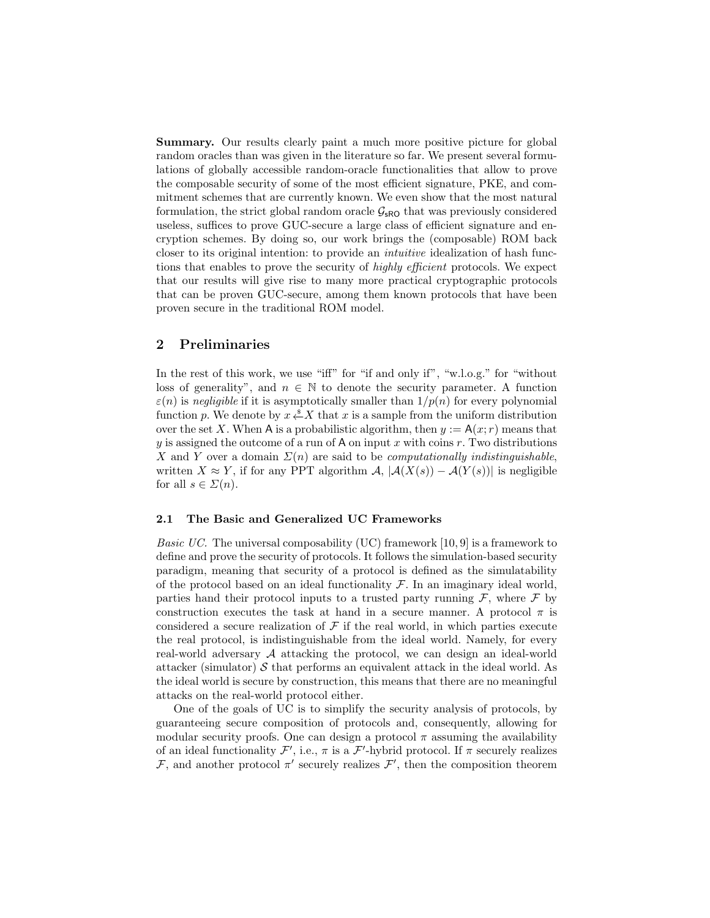Summary. Our results clearly paint a much more positive picture for global random oracles than was given in the literature so far. We present several formulations of globally accessible random-oracle functionalities that allow to prove the composable security of some of the most efficient signature, PKE, and commitment schemes that are currently known. We even show that the most natural formulation, the strict global random oracle  $\mathcal{G}_{\text{SRO}}$  that was previously considered useless, suffices to prove GUC-secure a large class of efficient signature and encryption schemes. By doing so, our work brings the (composable) ROM back closer to its original intention: to provide an *intuitive* idealization of hash functions that enables to prove the security of highly efficient protocols. We expect that our results will give rise to many more practical cryptographic protocols that can be proven GUC-secure, among them known protocols that have been proven secure in the traditional ROM model.

## 2 Preliminaries

In the rest of this work, we use "iff" for "if and only if", "w.l.o.g." for "without loss of generality", and  $n \in \mathbb{N}$  to denote the security parameter. A function  $\varepsilon(n)$  is negligible if it is asymptotically smaller than  $1/p(n)$  for every polynomial function p. We denote by  $x \stackrel{s}{\leftarrow} X$  that x is a sample from the uniform distribution over the set X. When A is a probabilistic algorithm, then  $y := A(x; r)$  means that y is assigned the outcome of a run of A on input x with coins r. Two distributions X and Y over a domain  $\Sigma(n)$  are said to be *computationally indistinguishable*, written  $X \approx Y$ , if for any PPT algorithm  $\mathcal{A}, |\mathcal{A}(X(s)) - \mathcal{A}(Y(s))|$  is negligible for all  $s \in \Sigma(n)$ .

#### 2.1 The Basic and Generalized UC Frameworks

Basic UC. The universal composability (UC) framework [10, 9] is a framework to define and prove the security of protocols. It follows the simulation-based security paradigm, meaning that security of a protocol is defined as the simulatability of the protocol based on an ideal functionality  $\mathcal F$ . In an imaginary ideal world, parties hand their protocol inputs to a trusted party running  $\mathcal{F}$ , where  $\mathcal{F}$  by construction executes the task at hand in a secure manner. A protocol  $\pi$  is considered a secure realization of  $\mathcal F$  if the real world, in which parties execute the real protocol, is indistinguishable from the ideal world. Namely, for every real-world adversary A attacking the protocol, we can design an ideal-world attacker (simulator)  $S$  that performs an equivalent attack in the ideal world. As the ideal world is secure by construction, this means that there are no meaningful attacks on the real-world protocol either.

One of the goals of UC is to simplify the security analysis of protocols, by guaranteeing secure composition of protocols and, consequently, allowing for modular security proofs. One can design a protocol  $\pi$  assuming the availability of an ideal functionality  $\mathcal{F}'$ , i.e.,  $\pi$  is a  $\mathcal{F}'$ -hybrid protocol. If  $\pi$  securely realizes F, and another protocol  $\pi'$  securely realizes  $\mathcal{F}'$ , then the composition theorem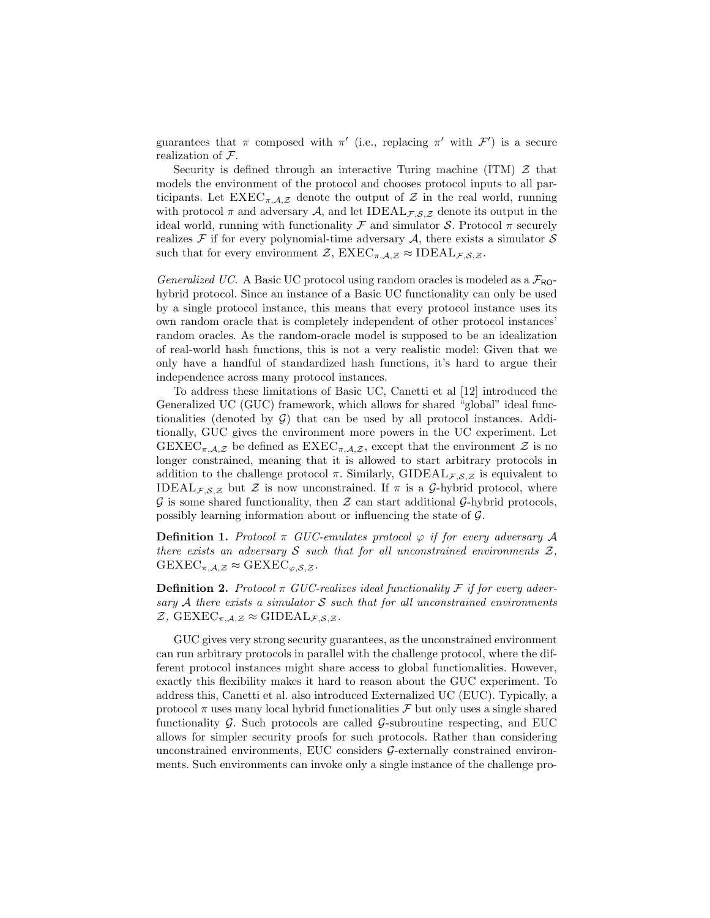guarantees that  $\pi$  composed with  $\pi'$  (i.e., replacing  $\pi'$  with  $\mathcal{F}'$ ) is a secure realization of  $\mathcal{F}$ .

Security is defined through an interactive Turing machine (ITM)  $\mathcal Z$  that models the environment of the protocol and chooses protocol inputs to all participants. Let  $\text{EXEC}_{\pi,\mathcal{A},\mathcal{Z}}$  denote the output of  $\mathcal Z$  in the real world, running with protocol  $\pi$  and adversary A, and let IDEAL<sub>F, S, Z</sub> denote its output in the ideal world, running with functionality  $\mathcal F$  and simulator  $\mathcal S$ . Protocol  $\pi$  securely realizes  $\mathcal F$  if for every polynomial-time adversary  $\mathcal A$ , there exists a simulator  $\mathcal S$ such that for every environment  $\mathcal{Z}, \text{EXEC}_{\pi,\mathcal{A},\mathcal{Z}} \approx \text{IDEAL}_{\mathcal{F},\mathcal{S},\mathcal{Z}}$ .

Generalized UC. A Basic UC protocol using random oracles is modeled as a  $\mathcal{F}_{\text{RO}}$ hybrid protocol. Since an instance of a Basic UC functionality can only be used by a single protocol instance, this means that every protocol instance uses its own random oracle that is completely independent of other protocol instances' random oracles. As the random-oracle model is supposed to be an idealization of real-world hash functions, this is not a very realistic model: Given that we only have a handful of standardized hash functions, it's hard to argue their independence across many protocol instances.

To address these limitations of Basic UC, Canetti et al [12] introduced the Generalized UC (GUC) framework, which allows for shared "global" ideal functionalities (denoted by  $\mathcal{G}$ ) that can be used by all protocol instances. Additionally, GUC gives the environment more powers in the UC experiment. Let  $GEXEC_{\pi,\mathcal{A},\mathcal{Z}}$  be defined as  $EXEC_{\pi,\mathcal{A},\mathcal{Z}}$ , except that the environment  $\mathcal Z$  is no longer constrained, meaning that it is allowed to start arbitrary protocols in addition to the challenge protocol  $\pi$ . Similarly, GIDEAL $_{\mathcal{F},\mathcal{S},\mathcal{Z}}$  is equivalent to IDEAL<sub>F,S,Z</sub> but Z is now unconstrained. If  $\pi$  is a G-hybrid protocol, where  $\mathcal G$  is some shared functionality, then  $\mathcal Z$  can start additional  $\mathcal G$ -hybrid protocols, possibly learning information about or influencing the state of G.

**Definition 1.** Protocol  $\pi$  GUC-emulates protocol  $\varphi$  if for every adversary A there exists an adversary S such that for all unconstrained environments  $\mathcal{Z},$  $GEXEC_{\pi,\mathcal{A},\mathcal{Z}} \approx GEXEC_{\varphi,\mathcal{S},\mathcal{Z}}.$ 

**Definition 2.** Protocol  $\pi$  GUC-realizes ideal functionality F if for every adversary A there exists a simulator S such that for all unconstrained environments  $\mathcal{Z}, \text{GEXEC}_{\pi, \mathcal{A}, \mathcal{Z}} \approx \text{GIDEAL}_{\mathcal{F}, \mathcal{S}, \mathcal{Z}}.$ 

GUC gives very strong security guarantees, as the unconstrained environment can run arbitrary protocols in parallel with the challenge protocol, where the different protocol instances might share access to global functionalities. However, exactly this flexibility makes it hard to reason about the GUC experiment. To address this, Canetti et al. also introduced Externalized UC (EUC). Typically, a protocol  $\pi$  uses many local hybrid functionalities  $\mathcal F$  but only uses a single shared functionality  $\mathcal{G}$ . Such protocols are called  $\mathcal{G}$ -subroutine respecting, and EUC allows for simpler security proofs for such protocols. Rather than considering unconstrained environments, EUC considers G-externally constrained environments. Such environments can invoke only a single instance of the challenge pro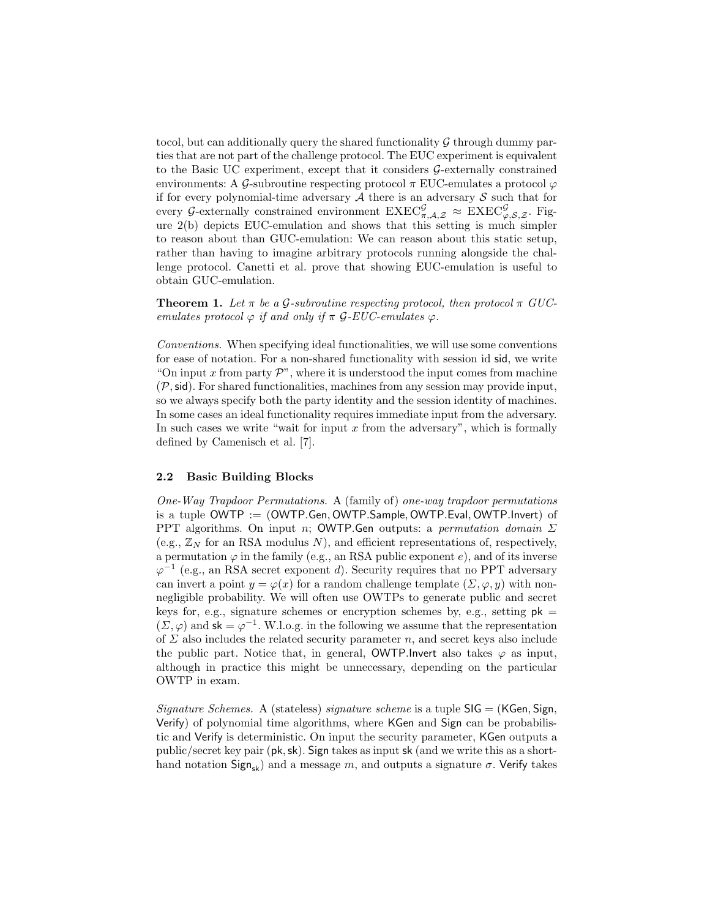tocol, but can additionally query the shared functionality  $\mathcal G$  through dummy parties that are not part of the challenge protocol. The EUC experiment is equivalent to the Basic UC experiment, except that it considers G-externally constrained environments: A G-subroutine respecting protocol  $\pi$  EUC-emulates a protocol  $\varphi$ if for every polynomial-time adversary  $A$  there is an adversary  $S$  such that for every G-externally constrained environment  $\text{EXEC}^{\mathcal{G}}_{\pi,\mathcal{A},\mathcal{Z}} \approx \text{EXEC}^{\mathcal{G}}_{\varphi,\mathcal{S},\mathcal{Z}}$ . Figure 2(b) depicts EUC-emulation and shows that this setting is much simpler to reason about than GUC-emulation: We can reason about this static setup, rather than having to imagine arbitrary protocols running alongside the challenge protocol. Canetti et al. prove that showing EUC-emulation is useful to obtain GUC-emulation.

**Theorem 1.** Let  $\pi$  be a G-subroutine respecting protocol, then protocol  $\pi$  GUCemulates protocol  $\varphi$  if and only if  $\pi$  G-EUC-emulates  $\varphi$ .

Conventions. When specifying ideal functionalities, we will use some conventions for ease of notation. For a non-shared functionality with session id sid, we write "On input x from party  $\mathcal{P}$ ", where it is understood the input comes from machine  $(\mathcal{P}, \mathsf{sid})$ . For shared functionalities, machines from any session may provide input, so we always specify both the party identity and the session identity of machines. In some cases an ideal functionality requires immediate input from the adversary. In such cases we write "wait for input  $x$  from the adversary", which is formally defined by Camenisch et al. [7].

#### 2.2 Basic Building Blocks

One-Way Trapdoor Permutations. A (family of) one-way trapdoor permutations is a tuple OWTP := (OWTP.Gen, OWTP.Sample, OWTP.Eval, OWTP.Invert) of PPT algorithms. On input n; OWTP.Gen outputs: a permutation domain  $\Sigma$ (e.g.,  $\mathbb{Z}_N$  for an RSA modulus N), and efficient representations of, respectively, a permutation  $\varphi$  in the family (e.g., an RSA public exponent e), and of its inverse  $\varphi^{-1}$  (e.g., an RSA secret exponent d). Security requires that no PPT adversary can invert a point  $y = \varphi(x)$  for a random challenge template  $(\Sigma, \varphi, y)$  with nonnegligible probability. We will often use OWTPs to generate public and secret keys for, e.g., signature schemes or encryption schemes by, e.g., setting  $pk =$  $(\Sigma, \varphi)$  and sk =  $\varphi^{-1}$ . W.l.o.g. in the following we assume that the representation of  $\Sigma$  also includes the related security parameter n, and secret keys also include the public part. Notice that, in general, OWTP.Invert also takes  $\varphi$  as input, although in practice this might be unnecessary, depending on the particular OWTP in exam.

Signature Schemes. A (stateless) signature scheme is a tuple  $SIG = (KGen, Sign,$ Verify) of polynomial time algorithms, where KGen and Sign can be probabilistic and Verify is deterministic. On input the security parameter, KGen outputs a public/secret key pair (pk,sk). Sign takes as input sk (and we write this as a shorthand notation  $Sign_{sk}$ ) and a message m, and outputs a signature  $\sigma$ . Verify takes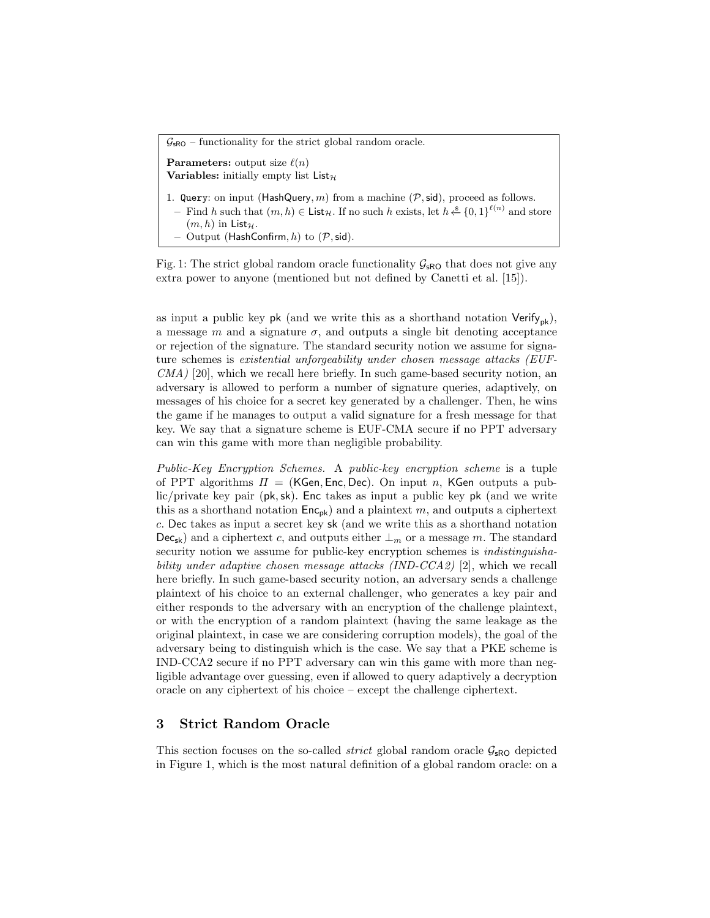$\mathcal{G}_{\text{sRO}}$  – functionality for the strict global random oracle. **Parameters:** output size  $\ell(n)$ Variables: initially empty list  $List_{\mathcal{H}}$ 1. Query: on input (HashQuery, m) from a machine  $(\mathcal{P}, \mathsf{sid})$ , proceed as follows.  $-$  Find h such that  $(m, h) \in$  List<sub>H</sub>. If no such h exists, let  $h \leftarrow \{0, 1\}^{\ell(n)}$  and store  $(m, h)$  in List<sub>H</sub>. - Output (HashConfirm, h) to  $(\mathcal{P}, \mathsf{sid})$ .

Fig. 1: The strict global random oracle functionality  $\mathcal{G}_{\text{SRO}}$  that does not give any extra power to anyone (mentioned but not defined by Canetti et al. [15]).

as input a public key pk (and we write this as a shorthand notation  $Verify_{nk}$ ), a message m and a signature  $\sigma$ , and outputs a single bit denoting acceptance or rejection of the signature. The standard security notion we assume for signature schemes is existential unforgeability under chosen message attacks (EUF- $CMA$ ) [20], which we recall here briefly. In such game-based security notion, an adversary is allowed to perform a number of signature queries, adaptively, on messages of his choice for a secret key generated by a challenger. Then, he wins the game if he manages to output a valid signature for a fresh message for that key. We say that a signature scheme is EUF-CMA secure if no PPT adversary can win this game with more than negligible probability.

Public-Key Encryption Schemes. A public-key encryption scheme is a tuple of PPT algorithms  $\Pi = (KGen, Enc, Dec)$ . On input n, KGen outputs a public/private key pair (pk, sk). Enc takes as input a public key pk (and we write this as a shorthand notation  $Enc_{pk}$  and a plaintext m, and outputs a ciphertext c. Dec takes as input a secret key sk (and we write this as a shorthand notation  $Dec_{sk}$ ) and a ciphertext c, and outputs either  $\perp_m$  or a message m. The standard security notion we assume for public-key encryption schemes is *indistinguisha*bility under adaptive chosen message attacks (IND-CCA2) [2], which we recall here briefly. In such game-based security notion, an adversary sends a challenge plaintext of his choice to an external challenger, who generates a key pair and either responds to the adversary with an encryption of the challenge plaintext, or with the encryption of a random plaintext (having the same leakage as the original plaintext, in case we are considering corruption models), the goal of the adversary being to distinguish which is the case. We say that a PKE scheme is IND-CCA2 secure if no PPT adversary can win this game with more than negligible advantage over guessing, even if allowed to query adaptively a decryption oracle on any ciphertext of his choice – except the challenge ciphertext.

## 3 Strict Random Oracle

This section focuses on the so-called *strict* global random oracle  $\mathcal{G}_{\textsf{sRO}}$  depicted in Figure 1, which is the most natural definition of a global random oracle: on a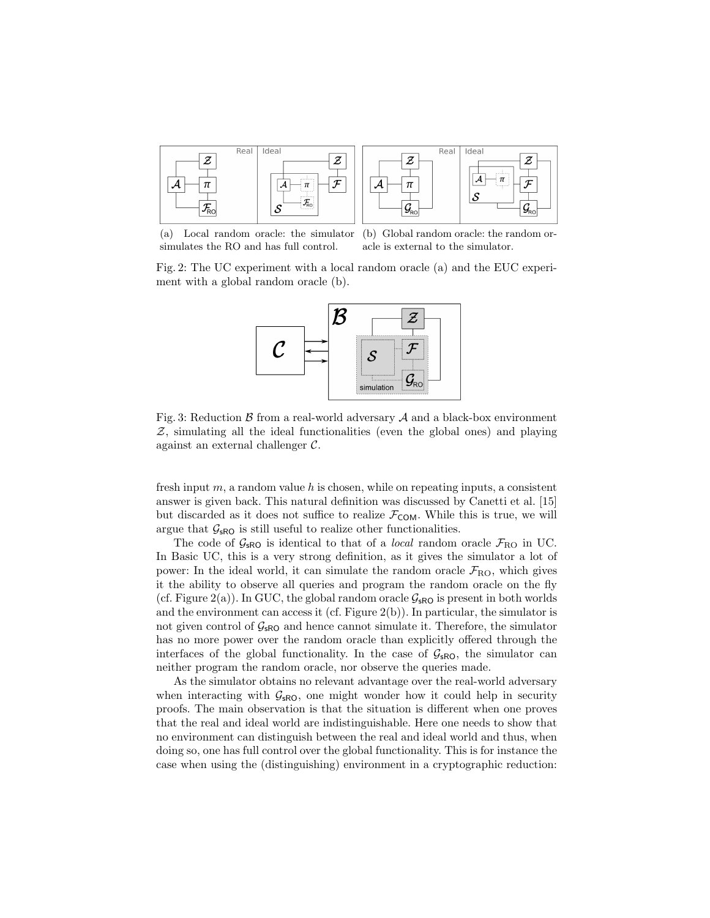

(a) Local random oracle: the simulator simulates the RO and has full control.

(b) Global random oracle: the random oracle is external to the simulator.

Fig. 2: The UC experiment with a local random oracle (a) and the EUC experiment with a global random oracle (b).



Fig. 3: Reduction  $\beta$  from a real-world adversary  $\mathcal A$  and a black-box environment Z, simulating all the ideal functionalities (even the global ones) and playing against an external challenger C.

fresh input  $m$ , a random value  $h$  is chosen, while on repeating inputs, a consistent answer is given back. This natural definition was discussed by Canetti et al. [15] but discarded as it does not suffice to realize  $\mathcal{F}_{COM}$ . While this is true, we will argue that  $\mathcal{G}_{\text{sRO}}$  is still useful to realize other functionalities.

The code of  $\mathcal{G}_{\text{SRO}}$  is identical to that of a *local* random oracle  $\mathcal{F}_{\text{RO}}$  in UC. In Basic UC, this is a very strong definition, as it gives the simulator a lot of power: In the ideal world, it can simulate the random oracle  $\mathcal{F}_{\text{RO}}$ , which gives it the ability to observe all queries and program the random oracle on the fly (cf. Figure 2(a)). In GUC, the global random oracle  $\mathcal{G}_{\text{SRO}}$  is present in both worlds and the environment can access it (cf. Figure  $2(b)$ ). In particular, the simulator is not given control of  $\mathcal{G}_{\text{SRO}}$  and hence cannot simulate it. Therefore, the simulator has no more power over the random oracle than explicitly offered through the interfaces of the global functionality. In the case of  $\mathcal{G}_{\text{SRO}}$ , the simulator can neither program the random oracle, nor observe the queries made.

As the simulator obtains no relevant advantage over the real-world adversary when interacting with  $\mathcal{G}_{\text{SRO}}$ , one might wonder how it could help in security proofs. The main observation is that the situation is different when one proves that the real and ideal world are indistinguishable. Here one needs to show that no environment can distinguish between the real and ideal world and thus, when doing so, one has full control over the global functionality. This is for instance the case when using the (distinguishing) environment in a cryptographic reduction: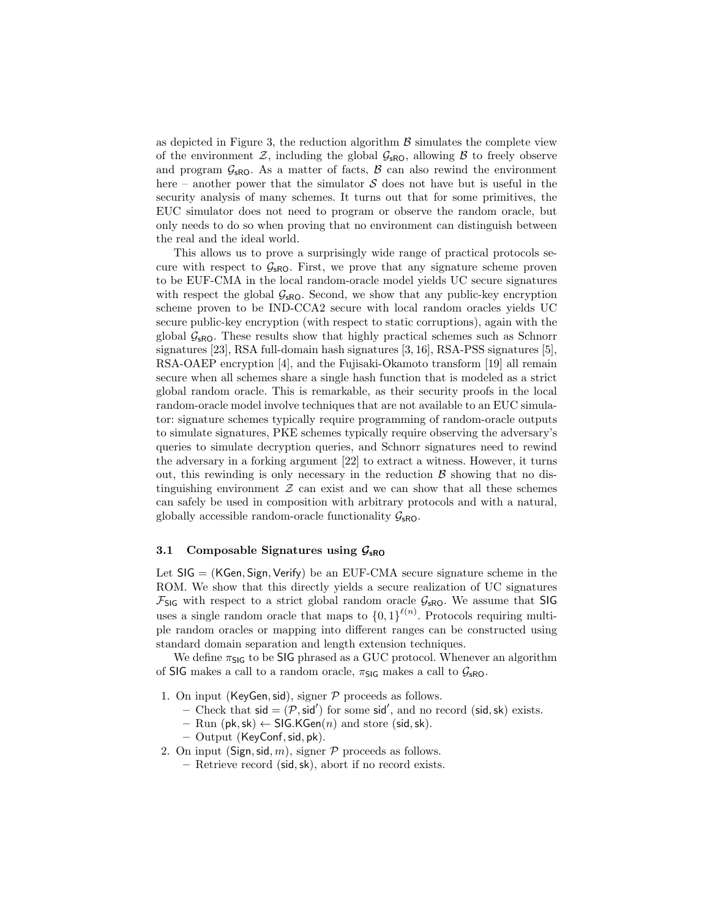as depicted in Figure 3, the reduction algorithm  $\beta$  simulates the complete view of the environment  $\mathcal{Z}$ , including the global  $\mathcal{G}_{\text{SRO}}$ , allowing  $\mathcal{B}$  to freely observe and program  $\mathcal{G}_{\text{SRO}}$ . As a matter of facts,  $\beta$  can also rewind the environment here – another power that the simulator  $S$  does not have but is useful in the security analysis of many schemes. It turns out that for some primitives, the EUC simulator does not need to program or observe the random oracle, but only needs to do so when proving that no environment can distinguish between the real and the ideal world.

This allows us to prove a surprisingly wide range of practical protocols secure with respect to  $\mathcal{G}_{sRO}$ . First, we prove that any signature scheme proven to be EUF-CMA in the local random-oracle model yields UC secure signatures with respect the global  $\mathcal{G}_{\text{SRO}}$ . Second, we show that any public-key encryption scheme proven to be IND-CCA2 secure with local random oracles yields UC secure public-key encryption (with respect to static corruptions), again with the global  $G<sub>sRO</sub>$ . These results show that highly practical schemes such as Schnorr signatures [23], RSA full-domain hash signatures [3, 16], RSA-PSS signatures [5], RSA-OAEP encryption [4], and the Fujisaki-Okamoto transform [19] all remain secure when all schemes share a single hash function that is modeled as a strict global random oracle. This is remarkable, as their security proofs in the local random-oracle model involve techniques that are not available to an EUC simulator: signature schemes typically require programming of random-oracle outputs to simulate signatures, PKE schemes typically require observing the adversary's queries to simulate decryption queries, and Schnorr signatures need to rewind the adversary in a forking argument [22] to extract a witness. However, it turns out, this rewinding is only necessary in the reduction  $\beta$  showing that no distinguishing environment  $\mathcal Z$  can exist and we can show that all these schemes can safely be used in composition with arbitrary protocols and with a natural, globally accessible random-oracle functionality  $\mathcal{G}_{\text{SRO}}$ .

#### 3.1 Composable Signatures using  $\mathcal{G}_{\text{SRO}}$

Let SIG = (KGen, Sign, Verify) be an EUF-CMA secure signature scheme in the ROM. We show that this directly yields a secure realization of UC signatures  $\mathcal{F}_{\text{SIG}}$  with respect to a strict global random oracle  $\mathcal{G}_{\text{SRO}}$ . We assume that SIG uses a single random oracle that maps to  ${0,1}^{\ell(n)}$ . Protocols requiring multiple random oracles or mapping into different ranges can be constructed using standard domain separation and length extension techniques.

We define  $\pi_{\text{SIG}}$  to be SIG phrased as a GUC protocol. Whenever an algorithm of SIG makes a call to a random oracle,  $\pi_{\text{SIG}}$  makes a call to  $\mathcal{G}_{\text{SRO}}$ .

- 1. On input (KeyGen, sid), signer  $P$  proceeds as follows.
	- Check that  $sid = (P, sid')$  for some sid', and no record (sid, sk) exists.
	- Run (pk, sk)  $\leftarrow$  SIG.KGen(n) and store (sid, sk).
	- Output (KeyConf,sid, pk).
- 2. On input (Sign, sid, m), signer  $P$  proceeds as follows.
	- Retrieve record (sid,sk), abort if no record exists.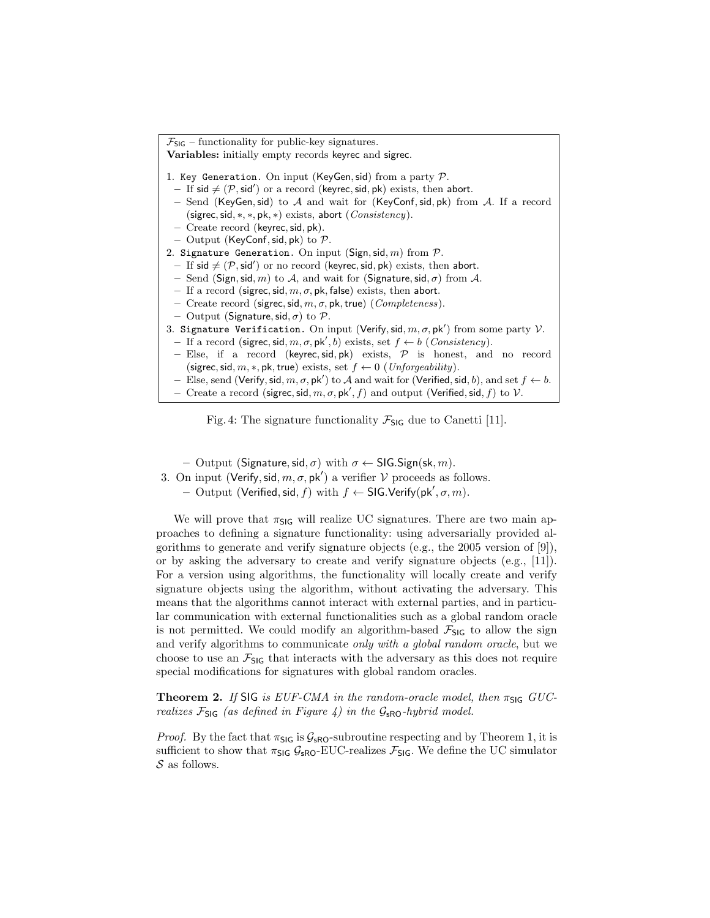$\mathcal{F}_{\text{SIG}}$  – functionality for public-key signatures. Variables: initially empty records keyrec and sigrec. 1. Key Generation. On input (KeyGen, sid) from a party  $P$ . - If sid  $\neq$   $(P,$  sid') or a record (keyrec, sid, pk) exists, then abort. – Send (KeyGen, sid) to  $A$  and wait for (KeyConf, sid, pk) from  $A$ . If a record (sigrec, sid,  $*,*,$  pk,  $*)$  exists, abort (Consistency). – Create record (keyrec,sid, pk). – Output (KeyConf, sid, pk) to  $P$ . 2. Signature Generation. On input (Sign, sid, m) from  $P$ . - If sid  $\neq$   $(P,$  sid') or no record (keyrec, sid, pk) exists, then abort. – Send (Sign, sid, m) to A, and wait for (Signature, sid,  $\sigma$ ) from A. – If a record (sigrec, sid,  $m, \sigma$ , pk, false) exists, then abort. – Create record (sigrec, sid,  $m, \sigma$ , pk, true) (Completeness). – Output (Signature, sid,  $\sigma$ ) to  $\mathcal{P}$ . 3. Signature Verification. On input (Verify, sid,  $m, \sigma, \mathsf{pk}'$ ) from some party  $\mathcal V$ . - If a record (sigrec, sid,  $m, \sigma, \mathsf{pk}', b$ ) exists, set  $f \leftarrow b$  (*Consistency*). – Else, if a record (keyrec, sid, pk) exists,  $P$  is honest, and no record (sigrec, sid, m, \*, pk, true) exists, set  $f \leftarrow 0$  (*Unforgeability*). – Else, send (Verify, sid,  $m, \sigma$ , pk') to A and wait for (Verified, sid, b), and set  $f \leftarrow b$ . - Create a record (sigrec, sid,  $m, \sigma, \text{pk}', f$ ) and output (Verified, sid, f) to V.

Fig. 4: The signature functionality  $\mathcal{F}_{\text{SIG}}$  due to Canetti [11].

– Output (Signature, sid,  $\sigma$ ) with  $\sigma \leftarrow$  SIG. Sign(sk, m).

3. On input (Verify, sid,  $m, \sigma, \mathsf{pk}'$ ) a verifier  $\mathcal V$  proceeds as follows.

- Output (Verified, sid, f) with  $f \leftarrow \textsf{SIG}.\textsf{Verify}(\textsf{pk}', \sigma, m)$ .

We will prove that  $\pi_{\text{SIG}}$  will realize UC signatures. There are two main approaches to defining a signature functionality: using adversarially provided algorithms to generate and verify signature objects (e.g., the 2005 version of [9]), or by asking the adversary to create and verify signature objects (e.g., [11]). For a version using algorithms, the functionality will locally create and verify signature objects using the algorithm, without activating the adversary. This means that the algorithms cannot interact with external parties, and in particular communication with external functionalities such as a global random oracle is not permitted. We could modify an algorithm-based  $\mathcal{F}_{\text{SIG}}$  to allow the sign and verify algorithms to communicate only with a global random oracle, but we choose to use an  $\mathcal{F}_{\text{SIG}}$  that interacts with the adversary as this does not require special modifications for signatures with global random oracles.

**Theorem 2.** If SIG is EUF-CMA in the random-oracle model, then  $\pi_{\text{SIG}}$  GUCrealizes  $\mathcal{F}_{\text{SIG}}$  (as defined in Figure 4) in the  $\mathcal{G}_{\text{SRO}}$ -hybrid model.

*Proof.* By the fact that  $\pi_{\text{SIG}}$  is  $\mathcal{G}_{\text{SRO}}$ -subroutine respecting and by Theorem 1, it is sufficient to show that  $\pi_{\text{SIG}}$   $\mathcal{G}_{\text{SRO}}$ -EUC-realizes  $\mathcal{F}_{\text{SIG}}$ . We define the UC simulator  $S$  as follows.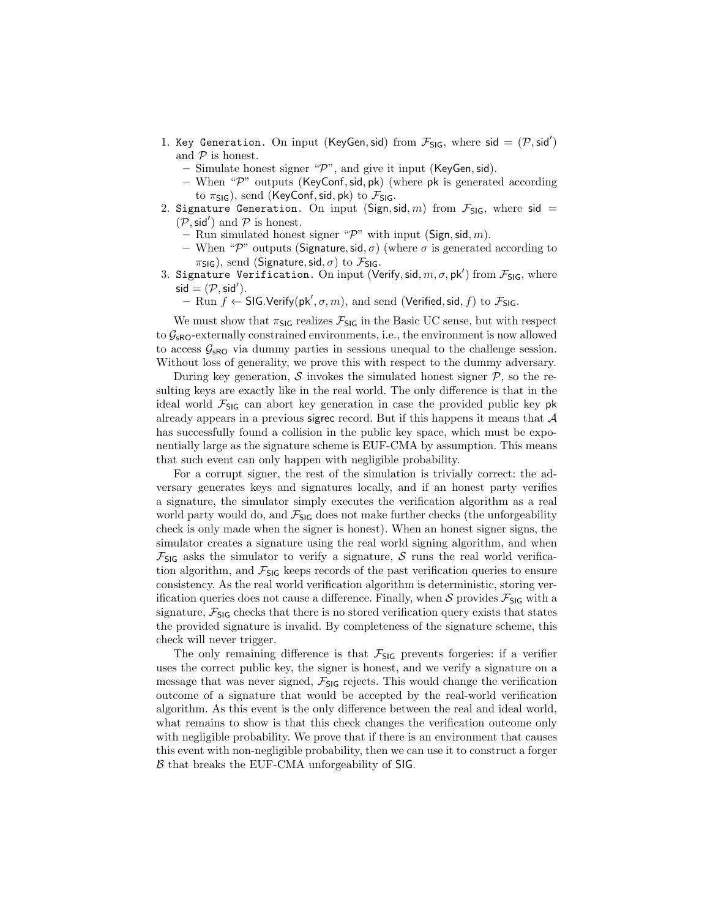- 1. Key Generation. On input (KeyGen, sid) from  $\mathcal{F}_{\text{SIG}}$ , where sid =  $(\mathcal{P}, \text{sid}')$ and  $P$  is honest.
	- Simulate honest signer " $\mathcal{P}$ ", and give it input (KeyGen, sid).
	- When " $\mathcal{P}$ " outputs (KeyConf, sid, pk) (where pk is generated according to  $\pi_{\text{SIG}}$ ), send (KeyConf, sid, pk) to  $\mathcal{F}_{\text{SIG}}$ .
- 2. Signature Generation. On input (Sign, sid, m) from  $\mathcal{F}_{\text{SIG}}$ , where sid =  $(\overline{P}, \mathsf{sid}')$  and  $\overline{P}$  is honest.
	- Run simulated honest signer " $\mathcal{P}$ " with input (Sign, sid, m).
	- When " $\mathcal{P}$ " outputs (Signature, sid,  $\sigma$ ) (where  $\sigma$  is generated according to  $\pi_{\text{SIG}}$ ), send (Signature, sid,  $\sigma$ ) to  $\mathcal{F}_{\text{SIG}}$ .
- 3. Signature Verification. On input (Verify, sid,  $m, \sigma, \mathsf{pk}'$ ) from  $\mathcal{F}_{\mathsf{SIG}}$ , where  $\mathsf{sid} = (\mathcal{P}, \mathsf{sid}').$ 
	- $-$  Run  $f$  ← SIG.Verify(pk',  $\sigma, m$ ), and send (Verified, sid,  $f$ ) to  $\mathcal{F}_{\textsf{SIG}}.$

We must show that  $\pi_{\text{SIG}}$  realizes  $\mathcal{F}_{\text{SIG}}$  in the Basic UC sense, but with respect to  $\mathcal{G}_{\mathsf{SRO}}$ -externally constrained environments, i.e., the environment is now allowed to access  $\mathcal{G}_{\text{sRO}}$  via dummy parties in sessions unequal to the challenge session. Without loss of generality, we prove this with respect to the dummy adversary.

During key generation,  $S$  invokes the simulated honest signer  $P$ , so the resulting keys are exactly like in the real world. The only difference is that in the ideal world  $\mathcal{F}_{\text{SIG}}$  can abort key generation in case the provided public key pk already appears in a previous sigrec record. But if this happens it means that  $A$ has successfully found a collision in the public key space, which must be exponentially large as the signature scheme is EUF-CMA by assumption. This means that such event can only happen with negligible probability.

For a corrupt signer, the rest of the simulation is trivially correct: the adversary generates keys and signatures locally, and if an honest party verifies a signature, the simulator simply executes the verification algorithm as a real world party would do, and  $\mathcal{F}_{\text{SIG}}$  does not make further checks (the unforgeability check is only made when the signer is honest). When an honest signer signs, the simulator creates a signature using the real world signing algorithm, and when  $\mathcal{F}_{\text{SIG}}$  asks the simulator to verify a signature, S runs the real world verification algorithm, and  $\mathcal{F}_{\text{SIG}}$  keeps records of the past verification queries to ensure consistency. As the real world verification algorithm is deterministic, storing verification queries does not cause a difference. Finally, when  $S$  provides  $\mathcal{F}_{\text{SIG}}$  with a signature,  $\mathcal{F}_{\text{SIG}}$  checks that there is no stored verification query exists that states the provided signature is invalid. By completeness of the signature scheme, this check will never trigger.

The only remaining difference is that  $\mathcal{F}_{\text{SIG}}$  prevents forgeries: if a verifier uses the correct public key, the signer is honest, and we verify a signature on a message that was never signed,  $\mathcal{F}_{\mathsf{SIG}}$  rejects. This would change the verification outcome of a signature that would be accepted by the real-world verification algorithm. As this event is the only difference between the real and ideal world, what remains to show is that this check changes the verification outcome only with negligible probability. We prove that if there is an environment that causes this event with non-negligible probability, then we can use it to construct a forger  $\beta$  that breaks the EUF-CMA unforgeability of SIG.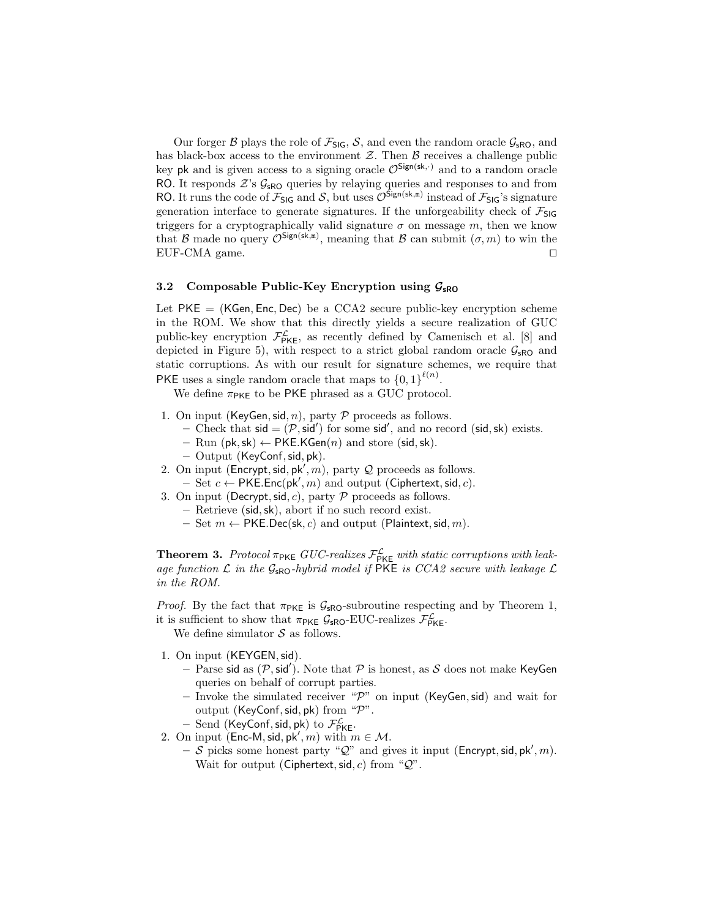Our forger B plays the role of  $\mathcal{F}_{\text{SIG}}$ , S, and even the random oracle  $\mathcal{G}_{\text{SRO}}$ , and has black-box access to the environment  $Z$ . Then  $\beta$  receives a challenge public key pk and is given access to a signing oracle  $\mathcal{O}^{\mathsf{Sign}(\mathsf{sk},\cdot)}$  and to a random oracle RO. It responds  $\mathcal{Z}$ 's  $\mathcal{G}_{\mathsf{sRO}}$  queries by relaying queries and responses to and from RO. It runs the code of  $\mathcal{F}_{\text{SIG}}$  and  $\mathcal{S}$ , but uses  $\mathcal{O}^{\text{Sign}(\text{sk},m)}$  instead of  $\mathcal{F}_{\text{SIG}}$ 's signature generation interface to generate signatures. If the unforgeability check of  $\mathcal{F}_{\text{SIG}}$ triggers for a cryptographically valid signature  $\sigma$  on message m, then we know that B made no query  $\mathcal{O}^{\text{Sign}(\text{sk},m)}$ , meaning that B can submit  $(\sigma, m)$  to win the  $EUF-CMA$  game.  $\square$ 

#### 3.2 Composable Public-Key Encryption using  $\mathcal{G}_{\text{sRO}}$

Let  $PKE = (KGen, Enc, Dec)$  be a CCA2 secure public-key encryption scheme in the ROM. We show that this directly yields a secure realization of GUC public-key encryption  $\mathcal{F}^{\mathcal{L}}_{PKE}$ , as recently defined by Camenisch et al. [8] and depicted in Figure 5), with respect to a strict global random oracle  $\mathcal{G}_{\text{SRO}}$  and static corruptions. As with our result for signature schemes, we require that PKE uses a single random oracle that maps to  $\{0,1\}^{\ell(n)}$ .

We define  $\pi_{\text{PKE}}$  to be PKE phrased as a GUC protocol.

- 1. On input (KeyGen, sid, n), party  $P$  proceeds as follows.
	- Check that  $sid = (P, sid')$  for some sid', and no record (sid, sk) exists.
	- Run (pk, sk)  $\leftarrow$  PKE.KGen(n) and store (sid, sk).
	- Output (KeyConf,sid, pk).
- 2. On input (Encrypt, sid, pk', m), party  $Q$  proceeds as follows.  $-$  Set  $c \leftarrow$  PKE. Enc(pk', m) and output (Ciphertext, sid, c).
- 3. On input (Decrypt, sid, c), party  $P$  proceeds as follows.
	- Retrieve (sid,sk), abort if no such record exist.
		- Set  $m \leftarrow \text{PKE.Dec}(\text{sk}, c)$  and output (Plaintext, sid, m).

**Theorem 3.** Protocol  $\pi_{\text{PKE}}$  GUC-realizes  $\mathcal{F}_{\text{PKE}}^{\mathcal{L}}$  with static corruptions with leakage function  $\mathcal L$  in the  $\mathcal G_{\text{SRO}}$ -hybrid model if PKE is CCA2 secure with leakage  $\mathcal L$ in the ROM.

*Proof.* By the fact that  $\pi_{PKE}$  is  $\mathcal{G}_{SRO}$ -subroutine respecting and by Theorem 1, it is sufficient to show that  $\pi_{\text{PKE}}$   $\mathcal{G}_{\text{sRO}}$ -EUC-realizes  $\mathcal{F}_{\text{PKE}}^{\mathcal{L}}$ .

We define simulator  $S$  as follows.

- 1. On input (KEYGEN, sid).
	- Parse sid as  $(\mathcal{P}, \mathsf{sid'})$ . Note that  $\mathcal P$  is honest, as S does not make KeyGen queries on behalf of corrupt parties.
	- Invoke the simulated receiver " $\mathcal{P}$ " on input (KeyGen, sid) and wait for output (KeyConf, sid, pk) from "P".
	- $-$  Send (KeyConf, sid, pk) to  $\mathcal{F}_{\mathsf{PKE}}^{\mathcal{L}}$ .
- 2. On input (Enc-M, sid, pk', m) with  $m \in \mathcal{M}$ .
	- S picks some honest party "Q" and gives it input (Encrypt, sid, pk', m). Wait for output (Ciphertext, sid, c) from " $Q$ ".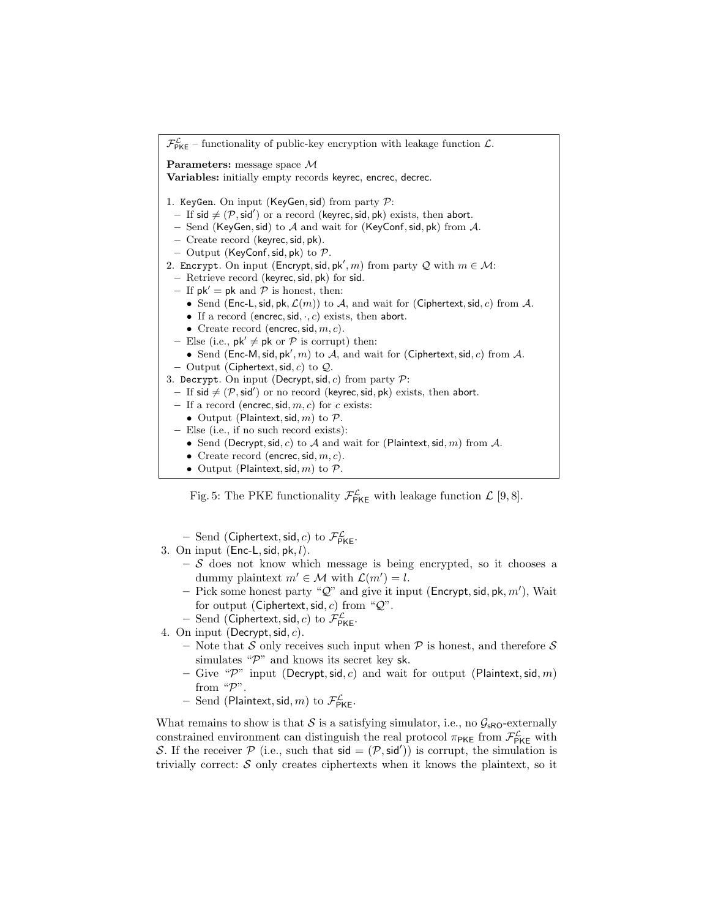

Fig. 5: The PKE functionality  $\mathcal{F}^{\mathcal{L}}_{PKE}$  with leakage function  $\mathcal{L}$  [9, 8].

 $-$  Send (Ciphertext, sid,  $c$ ) to  $\mathcal{F}_{\mathsf{PKE}}^{\mathcal{L}}$ .

- 3. On input  $(Enc-L, sid, pk, l)$ .
	- $-$  S does not know which message is being encrypted, so it chooses a dummy plaintext  $m' \in \mathcal{M}$  with  $\mathcal{L}(m') = l$ .
	- Pick some honest party " $\mathcal{Q}$ " and give it input (Encrypt, sid, pk, m'), Wait for output (Ciphertext, sid, c) from " $Q$ ".
	- $-$  Send (Ciphertext, sid, c) to  $\mathcal{F}_{\mathsf{PKE}}^{\mathcal{L}}$ .
- 4. On input (Decrypt, sid,  $c$ ).
	- Note that S only receives such input when  $P$  is honest, and therefore S simulates " $\mathcal{P}$ " and knows its secret key sk.
	- Give "P" input (Decrypt, sid, c) and wait for output (Plaintext, sid, m) from "P".
	- $-$  Send (Plaintext, sid,  $m$ ) to  $\mathcal{F}_{\mathsf{PKE}}^{\mathcal{L}}$ .

What remains to show is that S is a satisfying simulator, i.e., no  $\mathcal{G}_{\mathsf{SRO}}$ -externally constrained environment can distinguish the real protocol  $\pi_{\text{PKE}}$  from  $\mathcal{F}_{\text{PKE}}^{\mathcal{L}}$  with S. If the receiver  $P$  (i.e., such that  $sid = (P, sid')$ ) is corrupt, the simulation is trivially correct:  $S$  only creates ciphertexts when it knows the plaintext, so it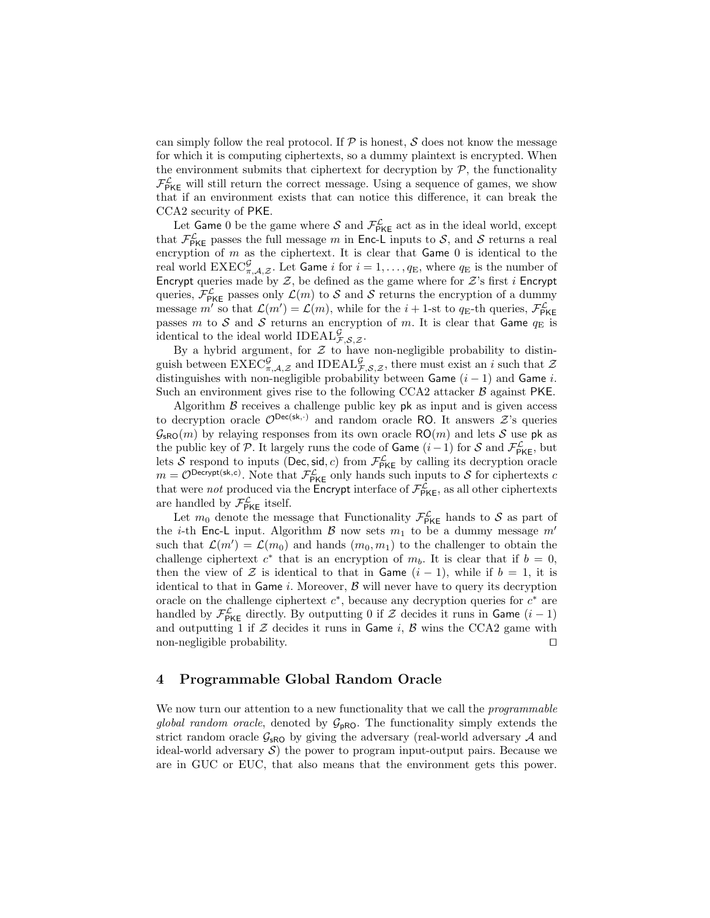can simply follow the real protocol. If  $P$  is honest,  $S$  does not know the message for which it is computing ciphertexts, so a dummy plaintext is encrypted. When the environment submits that ciphertext for decryption by  $P$ , the functionality  $\mathcal{F}^{\mathcal{L}}_{\mathsf{PKE}}$  will still return the correct message. Using a sequence of games, we show that if an environment exists that can notice this difference, it can break the CCA2 security of PKE.

Let Game 0 be the game where  $S$  and  $\mathcal{F}^{\mathcal{L}}_{\mathsf{PKE}}$  act as in the ideal world, except that  $\mathcal{F}^{\mathcal{L}}_{\mathsf{PKE}}$  passes the full message m in Enc-L inputs to S, and S returns a real encryption of  $m$  as the ciphertext. It is clear that  $Game 0$  is identical to the real world  $\operatorname{EXEC}_{\pi,\mathcal{A},\mathcal{Z}}^{\mathcal{G}}.$  Let Game  $i$  for  $i=1,\ldots,q_{\text E},$  where  $q_{\text E}$  is the number of Encrypt queries made by  $\mathcal{Z}$ , be defined as the game where for  $\mathcal{Z}$ 's first *i* Encrypt queries,  $\mathcal{F}^{\mathcal{L}}_{\mathsf{PKE}}$  passes only  $\mathcal{L}(m)$  to S and S returns the encryption of a dummy message m' so that  $\mathcal{L}(m') = \mathcal{L}(m)$ , while for the  $i + 1$ -st to  $q_E$ -th queries,  $\mathcal{F}_{\text{PKE}}^{\mathcal{L}}$ passes m to S and S returns an encryption of m. It is clear that Game  $q_E$  is identical to the ideal world IDEAL $^{\mathcal{G}}_{\mathcal{F},\mathcal{S},\mathcal{Z}}$ .

By a hybrid argument, for  $Z$  to have non-negligible probability to distinguish between  $\text{EXEC}_{\pi,\mathcal{A},\mathcal{Z}}^{\mathcal{G}}$  and  $\text{IDEAL}_{\mathcal{F},\mathcal{S},\mathcal{Z}}^{\mathcal{G}},$  there must exist an i such that  $\mathcal Z$ distinguishes with non-negligible probability between Game  $(i - 1)$  and Game i. Such an environment gives rise to the following  $\rm{CCA2}$  attacker  $\beta$  against PKE.

Algorithm  $\beta$  receives a challenge public key pk as input and is given access to decryption oracle  $\mathcal{O}^{\text{Dec}(sk,\cdot)}$  and random oracle RO. It answers  $\mathcal{Z}$ 's queries  $\mathcal{G}_{\text{SRO}}(m)$  by relaying responses from its own oracle RO(m) and lets S use pk as the public key of  $\cal P.$  It largely runs the code of <code>Game</code>  $(i-1)$  for  $\cal S$  and  ${\cal F}^{\cal L}_{\sf PKE}$ , but lets S respond to inputs (Dec, sid, c) from  $\mathcal{F}^{\mathcal{L}}_{PKE}$  by calling its decryption oracle  $m = \mathcal{O}^{\text{Decrypt}(\text{sk}, c)}$ . Note that  $\mathcal{F}^{\mathcal{L}}_{\text{PKE}}$  only hands such inputs to S for ciphertexts c that were *not* produced via the **Encrypt** interface of  $\mathcal{F}_{\text{PKE}}^{\mathcal{L}}$ , as all other ciphertexts are handled by  $\mathcal{F}_{\mathsf{PKE}}^{\mathcal{L}}$  itself.

Let  $m_0$  denote the message that Functionality  $\mathcal{F}^{\mathcal{L}}_{\mathsf{PKE}}$  hands to S as part of the *i*-th Enc-L input. Algorithm  $\beta$  now sets  $m_1$  to be a dummy message  $m'$ such that  $\mathcal{L}(m') = \mathcal{L}(m_0)$  and hands  $(m_0, m_1)$  to the challenger to obtain the challenge ciphertext  $c^*$  that is an encryption of  $m_b$ . It is clear that if  $b = 0$ , then the view of Z is identical to that in Game  $(i - 1)$ , while if  $b = 1$ , it is identical to that in Game  $i$ . Moreover,  $\beta$  will never have to query its decryption oracle on the challenge ciphertext  $c^*$ , because any decryption queries for  $c^*$  are handled by  $\mathcal{F}^{\mathcal{L}}_{\mathsf{PKE}}$  directly. By outputting 0 if  $\mathcal Z$  decides it runs in Game  $(i-1)$ and outputting 1 if  $\mathcal Z$  decides it runs in Game i,  $\mathcal B$  wins the CCA2 game with  $\Box$  non-negligible probability.

### 4 Programmable Global Random Oracle

We now turn our attention to a new functionality that we call the *programmable* global random oracle, denoted by  $\mathcal{G}_{\text{pRO}}$ . The functionality simply extends the strict random oracle  $\mathcal{G}_{\mathsf{SRO}}$  by giving the adversary (real-world adversary  $\mathcal A$  and ideal-world adversary  $S$ ) the power to program input-output pairs. Because we are in GUC or EUC, that also means that the environment gets this power.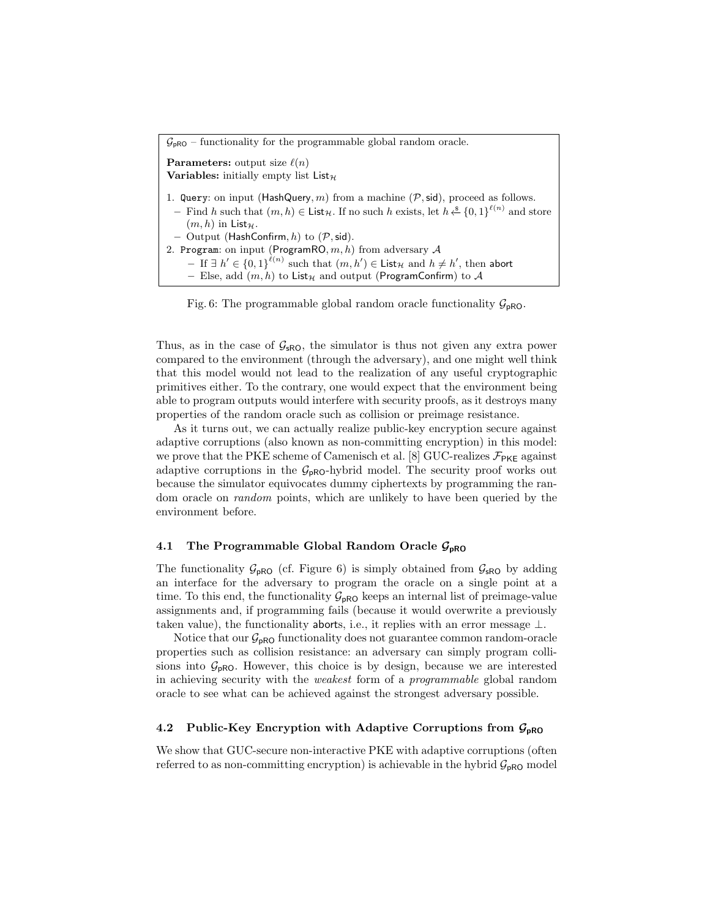| $\mathcal{G}_{pRO}$ – functionality for the programmable global random oracle.                                                                                                                                                                                                                                                  |
|---------------------------------------------------------------------------------------------------------------------------------------------------------------------------------------------------------------------------------------------------------------------------------------------------------------------------------|
| <b>Parameters:</b> output size $\ell(n)$<br><b>Variables:</b> initially empty list $List_{\mathcal{H}}$                                                                                                                                                                                                                         |
| 1. Query: on input (HashQuery, m) from a machine $(\mathcal{P}, \text{sid})$ , proceed as follows.<br>- Find h such that $(m, h) \in \text{List}_{\mathcal{H}}$ . If no such h exists, let $h \overset{\hspace{0.1em}\mathsf{\scriptscriptstyle\$}}{\leftarrow} \{0,1\}^{\ell(n)}$ and store<br>$(m, h)$ in List <sub>H</sub> . |
| - Output (HashConfirm, h) to $(\mathcal{P}, \text{sid})$ .                                                                                                                                                                                                                                                                      |
| 2. Program: on input (ProgramRO, $m, h$ ) from adversary $A$                                                                                                                                                                                                                                                                    |
| - If $\exists h' \in \{0,1\}^{\ell(n)}$ such that $(m, h') \in \text{List}_{\mathcal{H}}$ and $h \neq h'$ , then abort<br>- Else, add $(m, h)$ to List <sub>H</sub> and output (ProgramConfirm) to A                                                                                                                            |

Fig. 6: The programmable global random oracle functionality  $\mathcal{G}_{pRO}$ .

Thus, as in the case of  $\mathcal{G}_{\text{SRO}}$ , the simulator is thus not given any extra power compared to the environment (through the adversary), and one might well think that this model would not lead to the realization of any useful cryptographic primitives either. To the contrary, one would expect that the environment being able to program outputs would interfere with security proofs, as it destroys many properties of the random oracle such as collision or preimage resistance.

As it turns out, we can actually realize public-key encryption secure against adaptive corruptions (also known as non-committing encryption) in this model: we prove that the PKE scheme of Camenisch et al. [8] GUC-realizes  $\mathcal{F}_{\text{PKE}}$  against adaptive corruptions in the  $G_{pRQ}$ -hybrid model. The security proof works out because the simulator equivocates dummy ciphertexts by programming the random oracle on random points, which are unlikely to have been queried by the environment before.

#### 4.1 The Programmable Global Random Oracle  $G_{pRQ}$

The functionality  $\mathcal{G}_{pRO}$  (cf. Figure 6) is simply obtained from  $\mathcal{G}_{sRO}$  by adding an interface for the adversary to program the oracle on a single point at a time. To this end, the functionality  $\mathcal{G}_{pRQ}$  keeps an internal list of preimage-value assignments and, if programming fails (because it would overwrite a previously taken value), the functionality aborts, i.e., it replies with an error message  $\bot$ .

Notice that our  $\mathcal{G}_{\text{pRO}}$  functionality does not guarantee common random-oracle properties such as collision resistance: an adversary can simply program collisions into  $\mathcal{G}_{\text{bRO}}$ . However, this choice is by design, because we are interested in achieving security with the weakest form of a programmable global random oracle to see what can be achieved against the strongest adversary possible.

## 4.2 Public-Key Encryption with Adaptive Corruptions from  $\mathcal{G}_{\text{pRO}}$

We show that GUC-secure non-interactive PKE with adaptive corruptions (often referred to as non-committing encryption) is achievable in the hybrid  $\mathcal{G}_{pRO}$  model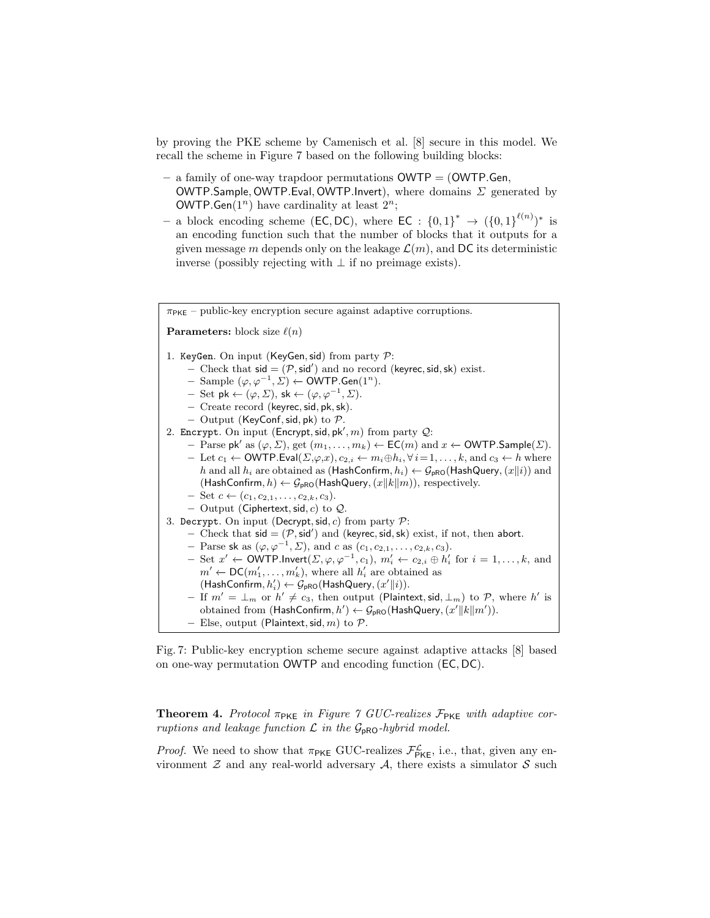by proving the PKE scheme by Camenisch et al. [8] secure in this model. We recall the scheme in Figure 7 based on the following building blocks:

- $-$  a family of one-way trapdoor permutations  $OWTP = (OWTP.Gen,$ OWTP.Sample, OWTP.Eval, OWTP.Invert), where domains  $\Sigma$  generated by OWTP.Gen( $1^n$ ) have cardinality at least  $2^n$ ;
- a block encoding scheme (EC, DC), where EC :  $\{0,1\}^* \rightarrow (\{0,1\}^{\ell(n)})^*$  is an encoding function such that the number of blocks that it outputs for a given message m depends only on the leakage  $\mathcal{L}(m)$ , and DC its deterministic inverse (possibly rejecting with  $\perp$  if no preimage exists).

```
\pi_{\text{PKE}} – public-key encryption secure against adaptive corruptions.
Parameters: block size \ell(n)1. KeyGen. On input (KeyGen, sid) from party P:
      - Check that sid = (\mathcal{P}, sid') and no record (keyrec, sid, sk) exist.
      - Sample (\varphi, \varphi^{-1}, \varSigma) ← OWTP.Gen(1<sup>n</sup>).
      - Set pk \leftarrow (\varphi, \Sigma), sk \leftarrow (\varphi, \varphi^{-1}, \Sigma).
      - Create record (keyrec, sid, pk, sk).
      – Output (KeyConf, sid, pk) to P.
2. Encrypt. On input (Encrypt, sid, pk', m) from party Q:
      - Parse pk' as (φ, Σ), get (m_1, ..., m_k) ← EC(m) and x ← OWTP.Sample(Σ).
      – Let c_1 ← OWTP. Eval(\Sigma, φ, x), c_{2,i} ← m_i ⊕ h_i, ∀ i = 1, ..., k, and c_3 ← h where
         h and all h_i are obtained as (HashConfirm, h_i) \leftarrow \mathcal{G}_{\text{pRO}}(\text{HashQuery},(x||i)) and
         (HashConfirm, h) \leftarrow \mathcal{G}_{pRO}(HashQuery, (x||k||m)), respectively.
      – Set c ← (c_1, c_{2,1}, \ldots, c_{2,k}, c_3).
      – Output (Ciphertext, sid, c) to Q.
3. Decrypt. On input (Decrypt, sid, c) from party P:
      - Check that sid = (\mathcal{P}, sid') and (keyrec, sid, sk) exist, if not, then abort.
      - Parse sk as (φ, φ<sup>-1</sup>, Σ), and c as (c<sub>1</sub>, c<sub>2,1</sub>, ..., c<sub>2,k</sub>, c<sub>3</sub>).
      - Set x' ← OWTP.Invert(\Sigma, \varphi, \varphi^{-1}, c_1), m'_i ← c_{2,i} \oplus h'_i for i = 1, ..., k, and
         m' \leftarrow \mathsf{DC}(m'_1, \ldots, m'_k), where all h'_i are obtained as
         (HashConfirm, h'_i) \leftarrow \mathcal{G}_{pRO}(HashQuery, (x'||i)).- If m' = \perp_m or h' \neq c_3, then output (Plaintext, sid, \perp_m) to P, where h' is
         obtained from (HashConfirm, h') \leftarrow \mathcal{G}_{pRO}(HashQuery, (x'\|k\|m')).– Else, output (Plaintext, sid, m) to P.
```
Fig. 7: Public-key encryption scheme secure against adaptive attacks [8] based on one-way permutation OWTP and encoding function (EC, DC).

**Theorem 4.** Protocol  $\pi_{PKE}$  in Figure 7 GUC-realizes  $\mathcal{F}_{PKE}$  with adaptive corruptions and leakage function  $\mathcal L$  in the  $\mathcal G_{pRO}$ -hybrid model.

*Proof.* We need to show that  $\pi_{PKE}$  GUC-realizes  $\mathcal{F}^{\mathcal{L}}_{PKE}$ , i.e., that, given any environment  $Z$  and any real-world adversary  $A$ , there exists a simulator  $S$  such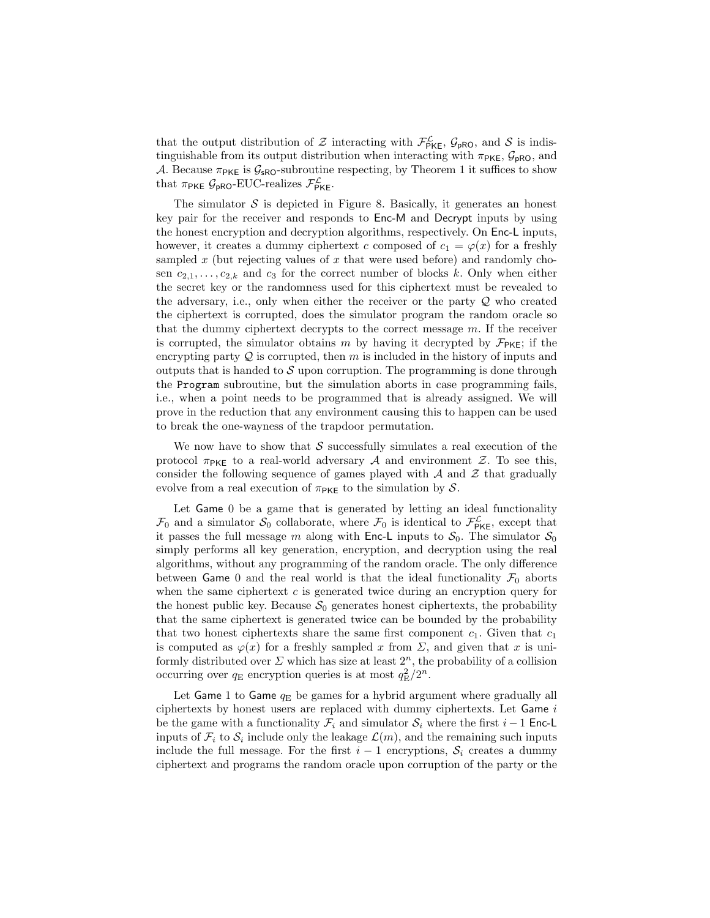that the output distribution of Z interacting with  $\mathcal{F}^{\mathcal{L}}_{PKE}$ ,  $\mathcal{G}_{PRO}$ , and S is indistinguishable from its output distribution when interacting with  $\pi_{PKE}$ ,  $\mathcal{G}_{pRO}$ , and A. Because  $\pi_{\text{PKE}}$  is  $\mathcal{G}_{\text{sRO}}$ -subroutine respecting, by Theorem 1 it suffices to show that  $\pi_{\text{PKE}}$   $\mathcal{G}_{\text{pRO}}$ -EUC-realizes  $\mathcal{F}_{\text{PKE}}^{\mathcal{L}}$ .

The simulator  $S$  is depicted in Figure 8. Basically, it generates an honest key pair for the receiver and responds to Enc-M and Decrypt inputs by using the honest encryption and decryption algorithms, respectively. On Enc-L inputs, however, it creates a dummy ciphertext c composed of  $c_1 = \varphi(x)$  for a freshly sampled  $x$  (but rejecting values of  $x$  that were used before) and randomly chosen  $c_{2,1}, \ldots, c_{2,k}$  and  $c_3$  for the correct number of blocks k. Only when either the secret key or the randomness used for this ciphertext must be revealed to the adversary, i.e., only when either the receiver or the party  $Q$  who created the ciphertext is corrupted, does the simulator program the random oracle so that the dummy ciphertext decrypts to the correct message  $m$ . If the receiver is corrupted, the simulator obtains m by having it decrypted by  $\mathcal{F}_{\text{PKE}}$ ; if the encrypting party  $Q$  is corrupted, then  $m$  is included in the history of inputs and outputs that is handed to  $S$  upon corruption. The programming is done through the Program subroutine, but the simulation aborts in case programming fails, i.e., when a point needs to be programmed that is already assigned. We will prove in the reduction that any environment causing this to happen can be used to break the one-wayness of the trapdoor permutation.

We now have to show that  $S$  successfully simulates a real execution of the protocol  $\pi_{PKE}$  to a real-world adversary A and environment Z. To see this, consider the following sequence of games played with  $A$  and  $Z$  that gradually evolve from a real execution of  $\pi_{PKE}$  to the simulation by S.

Let Game 0 be a game that is generated by letting an ideal functionality  $\mathcal{F}_0$  and a simulator  $\mathcal{S}_0$  collaborate, where  $\mathcal{F}_0$  is identical to  $\mathcal{F}^{\mathcal{L}}_{PKE}$ , except that it passes the full message m along with Enc-L inputs to  $S_0$ . The simulator  $S_0$ simply performs all key generation, encryption, and decryption using the real algorithms, without any programming of the random oracle. The only difference between Game 0 and the real world is that the ideal functionality  $\mathcal{F}_0$  aborts when the same ciphertext  $c$  is generated twice during an encryption query for the honest public key. Because  $S_0$  generates honest ciphertexts, the probability that the same ciphertext is generated twice can be bounded by the probability that two honest ciphertexts share the same first component  $c_1$ . Given that  $c_1$ is computed as  $\varphi(x)$  for a freshly sampled x from  $\Sigma$ , and given that x is uniformly distributed over  $\Sigma$  which has size at least  $2^n$ , the probability of a collision occurring over  $q_{\rm E}$  encryption queries is at most  $q_{\rm E}^2/2^n$ .

Let Game 1 to Game  $q_E$  be games for a hybrid argument where gradually all ciphertexts by honest users are replaced with dummy ciphertexts. Let  $\mathsf{Game}~i$ be the game with a functionality  $\mathcal{F}_i$  and simulator  $\mathcal{S}_i$  where the first  $i-1$  Enc-L inputs of  $\mathcal{F}_i$  to  $\mathcal{S}_i$  include only the leakage  $\mathcal{L}(m)$ , and the remaining such inputs include the full message. For the first  $i - 1$  encryptions,  $S_i$  creates a dummy ciphertext and programs the random oracle upon corruption of the party or the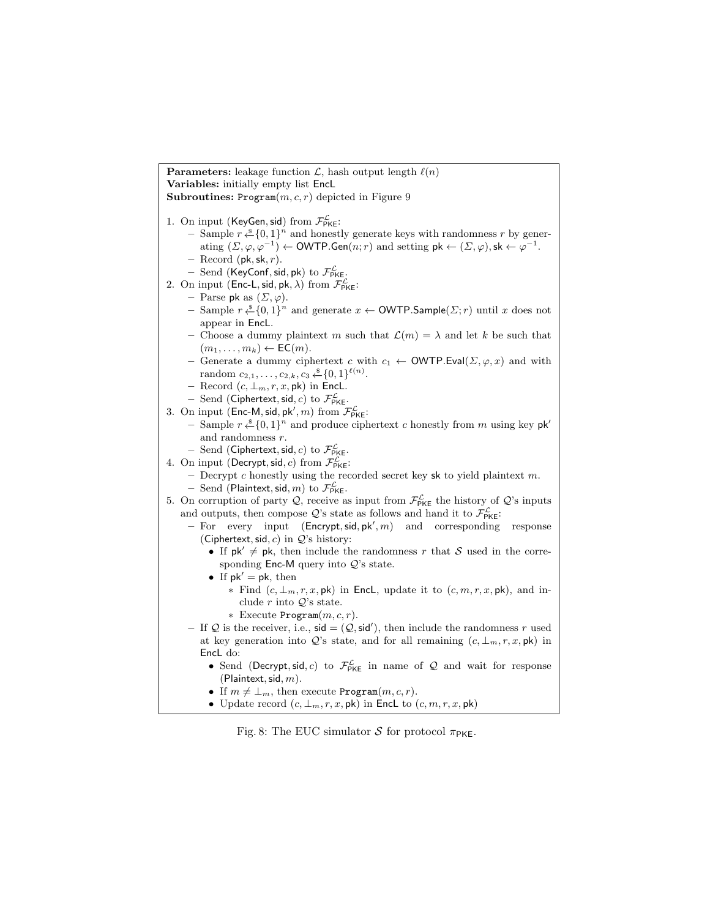**Parameters:** leakage function  $\mathcal{L}$ , hash output length  $\ell(n)$ Variables: initially empty list EncL Subroutines:  $Program(m, c, r)$  depicted in Figure 9 1. On input (KeyGen, sid) from  $\mathcal{F}_{\mathsf{PKE}}^{\mathcal{L}}$ : − Sample  $r \stackrel{\$}{\leftarrow} \{0, 1\}^n$  and honestly generate keys with randomness r by generating  $(\Sigma, \varphi, \varphi^{-1})$  ← OWTP.Gen $(n; r)$  and setting  $\mathsf{pk} \leftarrow (\Sigma, \varphi), \mathsf{sk} \leftarrow \varphi^{-1}$ . – Record (pk, sk,  $r$ ).  $-$  Send (KeyConf, sid, pk) to  $\mathcal{F}^{\mathcal{L}}_{\mathsf{PKE}}$ . 2. On input (Enc-L, sid, pk,  $\lambda$ ) from  $\mathcal{F}_{\text{PKE}}^{\mathcal{L}}$ : – Parse pk as  $(\Sigma, \varphi)$ . – Sample  $r \xleftarrow{\$} \{0, 1\}^n$  and generate  $x \leftarrow$  OWTP. Sample( $\Sigma; r$ ) until x does not appear in EncL. – Choose a dummy plaintext m such that  $\mathcal{L}(m) = \lambda$  and let k be such that  $(m_1, \ldots, m_k) \leftarrow \mathsf{EC}(m).$ – Generate a dummy ciphertext c with  $c_1 \leftarrow \text{OWTP.Eval}(\Sigma, \varphi, x)$  and with random  $c_{2,1}, \ldots, c_{2,k}, c_3 \stackrel{\$}{\leftarrow} \{0,1\}^{\ell(n)}$ . – Record  $(c, \perp_m, r, x, \mathsf{pk})$  in Encl.  $-$  Send (Ciphertext, sid, c) to  $\mathcal{F}^{\mathcal{L}}_{\mathsf{PKE}}$ . 3. On input (Enc-M, sid, pk', m) from  $\mathcal{F}_{\mathsf{PKE}}^{\mathcal{L}}$ : – Sample  $r \stackrel{\$}{\leftarrow} \{0, 1\}^n$  and produce ciphertext c honestly from m using key pk<sup>'</sup> and randomness r.  $-$  Send (Ciphertext, sid, c) to  $\mathcal{F}^{\mathcal{L}}_{\mathsf{PKE}}$ . 4. On input (Decrypt, sid, c) from  $\mathcal{F}^{\mathcal{L}}_{\mathsf{PKE}}$ : – Decrypt  $c$  honestly using the recorded secret key sk to yield plaintext  $m$ .  $-$  Send (Plaintext, sid,  $m$ ) to  $\mathcal{F}^{\mathcal{L}}_{\mathsf{PKE}}$ . 5. On corruption of party Q, receive as input from  $\mathcal{F}^{\mathcal{L}}_{PKE}$  the history of Q's inputs and outputs, then compose  $Q$ 's state as follows and hand it to  $\mathcal{F}^{\mathcal{L}}_{PKE}$ : - For every input (Encrypt, sid,  $pk', m$ ) and corresponding response (Ciphertext, sid, c) in  $Q$ 's history: • If  $pk' \neq pk$ , then include the randomness r that S used in the corresponding Enc-M query into Q's state. • If  $pk' = pk$ , then ∗ Find (c, ⊥m, r, x, pk) in EncL, update it to (c, m, r, x, pk), and include r into  $\mathcal{Q}$ 's state. ∗ Execute Program(m, c, r). - If Q is the receiver, i.e.,  $\mathsf{sid} = (Q, \mathsf{sid}'),$  then include the randomness r used at key generation into  $\mathcal{Q}$ 's state, and for all remaining  $(c, \perp_m, r, x, \mathsf{pk})$  in EncL do: • Send (Decrypt, sid, c) to  $\mathcal{F}^{\mathcal{L}}_{PKE}$  in name of Q and wait for response (Plaintext, sid,  $m$ ). • If  $m \neq \perp_m$ , then execute Program $(m, c, r)$ . • Update record  $(c, \perp_m, r, x, \mathsf{pk})$  in Encl to  $(c, m, r, x, \mathsf{pk})$ 

Fig. 8: The EUC simulator  $S$  for protocol  $\pi_{\mathsf{PKE}}$ .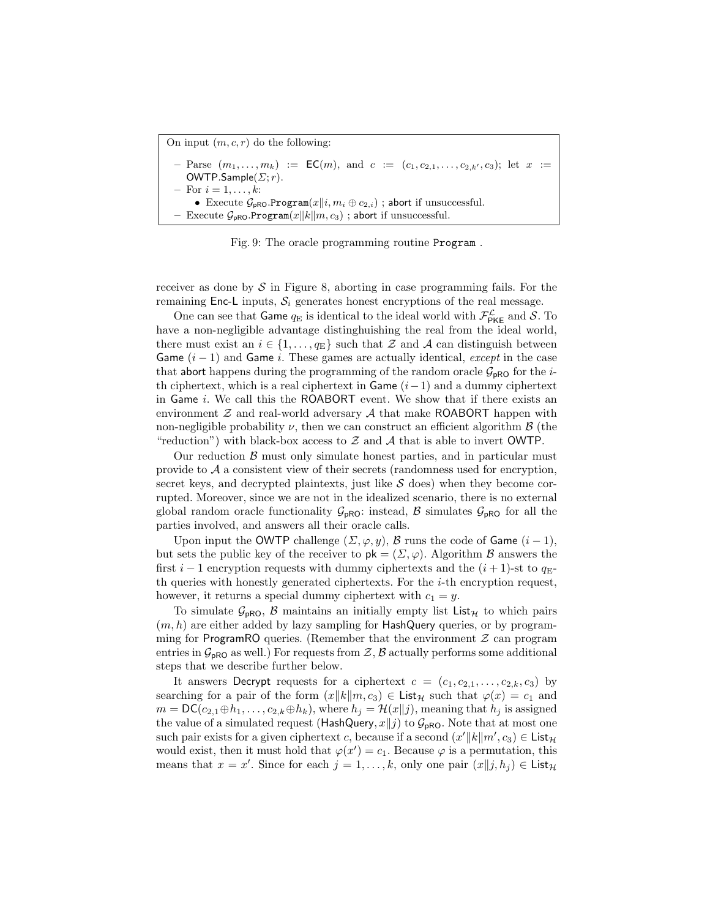```
On input (m, c, r) do the following:
 – Parse (m_1, \ldots, m_k) := \mathsf{EC}(m), and c := (c_1, c_{2,1}, \ldots, c_{2,k}, c_3); let x :=OWTP.Sample(\Sigma; r).
 - For i = 1, \ldots, k:
       • Execute \mathcal{G}_{\text{pRO}}. Program(x||i, m_i \oplus c_{2,i}); abort if unsuccessful.
 - Execute \mathcal{G}_{\text{pRO}}. Program(x||k||m, c_3); abort if unsuccessful.
```
Fig. 9: The oracle programming routine Program .

receiver as done by  $S$  in Figure 8, aborting in case programming fails. For the remaining Enc-L inputs,  $S_i$  generates honest encryptions of the real message.

One can see that Game  $q_{\rm E}$  is identical to the ideal world with  $\mathcal{F}^{\mathcal{L}}_{\mathsf{PKE}}$  and  $\mathcal{S}.$  To have a non-negligible advantage distinghuishing the real from the ideal world, there must exist an  $i \in \{1, \ldots, q_E\}$  such that  $\mathcal Z$  and  $\mathcal A$  can distinguish between Game  $(i - 1)$  and Game i. These games are actually identical, *except* in the case that abort happens during the programming of the random oracle  $\mathcal{G}_{pRQ}$  for the *i*th ciphertext, which is a real ciphertext in Game  $(i-1)$  and a dummy ciphertext in Game i. We call this the ROABORT event. We show that if there exists an environment  $\mathcal Z$  and real-world adversary  $\mathcal A$  that make ROABORT happen with non-negligible probability  $\nu$ , then we can construct an efficient algorithm  $\beta$  (the "reduction") with black-box access to  $\mathcal Z$  and  $\mathcal A$  that is able to invert OWTP.

Our reduction  $\beta$  must only simulate honest parties, and in particular must provide to  $A$  a consistent view of their secrets (randomness used for encryption, secret keys, and decrypted plaintexts, just like  $S$  does) when they become corrupted. Moreover, since we are not in the idealized scenario, there is no external global random oracle functionality  $G_{pRQ}$ : instead, B simulates  $G_{pRQ}$  for all the parties involved, and answers all their oracle calls.

Upon input the OWTP challenge  $(\Sigma, \varphi, y)$ , B runs the code of Game  $(i - 1)$ , but sets the public key of the receiver to  $\mathsf{pk} = (\Sigma, \varphi)$ . Algorithm  $\mathcal B$  answers the first i – 1 encryption requests with dummy ciphertexts and the  $(i + 1)$ -st to  $q_{\text{E}}$ th queries with honestly generated ciphertexts. For the  $i$ -th encryption request, however, it returns a special dummy ciphertext with  $c_1 = y$ .

To simulate  $\mathcal{G}_{pRO}$ ,  $\beta$  maintains an initially empty list List<sub>H</sub> to which pairs  $(m, h)$  are either added by lazy sampling for HashQuery queries, or by programming for ProgramRO queries. (Remember that the environment  $\mathcal Z$  can program entries in  $\mathcal{G}_{pRQ}$  as well.) For requests from  $\mathcal{Z}, \mathcal{B}$  actually performs some additional steps that we describe further below.

It answers Decrypt requests for a ciphertext  $c = (c_1, c_2, \ldots, c_{2,k}, c_3)$  by searching for a pair of the form  $(x||k||m, c_3) \in \text{List}_{\mathcal{H}}$  such that  $\varphi(x) = c_1$  and  $m = \mathsf{DC}(c_{2,1} \oplus h_1, \ldots, c_{2,k} \oplus h_k)$ , where  $h_j = \mathcal{H}(x||j)$ , meaning that  $h_j$  is assigned the value of a simulated request (HashQuery,  $x||j$ ) to  $\mathcal{G}_{pRQ}$ . Note that at most one such pair exists for a given ciphertext c, because if a second  $(x'\|k\|m', c_3) \in \mathsf{List}_{\mathcal{H}}$ would exist, then it must hold that  $\varphi(x') = c_1$ . Because  $\varphi$  is a permutation, this means that  $x = x'$ . Since for each  $j = 1, ..., k$ , only one pair  $(x||j, h_j) \in \mathsf{List}_{\mathcal{H}}$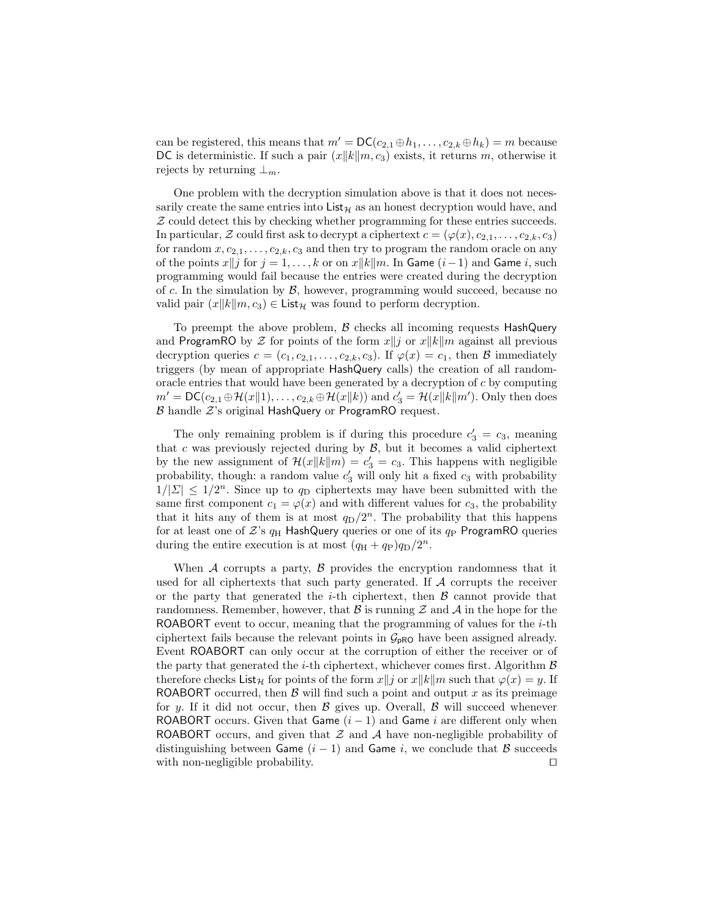can be registered, this means that  $m' = \mathsf{DC}(c_{2,1} \oplus h_1, \ldots, c_{2,k} \oplus h_k) = m$  because DC is deterministic. If such a pair  $(x||k||m, c_3)$  exists, it returns m, otherwise it rejects by returning  $\perp_m$ .

One problem with the decryption simulation above is that it does not necessarily create the same entries into  $List_{\mathcal{H}}$  as an honest decryption would have, and Z could detect this by checking whether programming for these entries succeeds. In particular, Z could first ask to decrypt a ciphertext  $c = (\varphi(x), c_{2,1}, \ldots, c_{2,k}, c_3)$ for random  $x, c_{2,1}, \ldots, c_{2,k}, c_3$  and then try to program the random oracle on any of the points x $||j$  for  $j = 1, \ldots, k$  or on  $x||k||m$ . In Game  $(i-1)$  and Game i, such programming would fail because the entries were created during the decryption of c. In the simulation by  $\mathcal{B}$ , however, programming would succeed, because no valid pair  $(x||k||m, c_3) \in \text{List}_{\mathcal{H}}$  was found to perform decryption.

To preempt the above problem,  $\beta$  checks all incoming requests HashQuery and ProgramRO by  $\mathcal Z$  for points of the form  $x||j$  or  $x||k||m$  against all previous decryption queries  $c = (c_1, c_{2,1}, \ldots, c_{2,k}, c_3)$ . If  $\varphi(x) = c_1$ , then B immediately triggers (by mean of appropriate HashQuery calls) the creation of all randomoracle entries that would have been generated by a decryption of c by computing  $m' = \mathsf{DC}(c_{2,1} \oplus \mathcal{H}(x||1), \ldots, c_{2,k} \oplus \mathcal{H}(x||k))$  and  $c'_3 = \mathcal{H}(x||k||m')$ . Only then does  $\mathcal B$  handle  $\mathcal Z$ 's original HashQuery or ProgramRO request.

The only remaining problem is if during this procedure  $c'_3 = c_3$ , meaning that c was previously rejected during by  $\beta$ , but it becomes a valid ciphertext by the new assignment of  $\mathcal{H}(x||k||m) = c'_3 = c_3$ . This happens with negligible probability, though: a random value  $c'_3$  will only hit a fixed  $c_3$  with probability  $1/|\Sigma| \leq 1/2^n$ . Since up to  $q_D$  ciphertexts may have been submitted with the same first component  $c_1 = \varphi(x)$  and with different values for  $c_3$ , the probability that it hits any of them is at most  $q_D/2^n$ . The probability that this happens for at least one of  $Z$ 's  $q_H$  HashQuery queries or one of its  $q_P$  ProgramRO queries during the entire execution is at most  $(q_H + q_P)q_D/2^n$ .

When  $A$  corrupts a party,  $B$  provides the encryption randomness that it used for all ciphertexts that such party generated. If  $A$  corrupts the receiver or the party that generated the *i*-th ciphertext, then  $\beta$  cannot provide that randomness. Remember, however, that  $\beta$  is running  $\mathcal Z$  and  $\mathcal A$  in the hope for the ROABORT event to occur, meaning that the programming of values for the  $i$ -th ciphertext fails because the relevant points in  $\mathcal{G}_{pRO}$  have been assigned already. Event ROABORT can only occur at the corruption of either the receiver or of the party that generated the *i*-th ciphertext, whichever comes first. Algorithm  $\beta$ therefore checks List<sub>H</sub> for points of the form  $x||j$  or  $x||k||m$  such that  $\varphi(x) = y$ . If ROABORT occurred, then  $\beta$  will find such a point and output x as its preimage for y. If it did not occur, then  $\beta$  gives up. Overall,  $\beta$  will succeed whenever ROABORT occurs. Given that Game  $(i - 1)$  and Game i are different only when ROABORT occurs, and given that  $Z$  and  $A$  have non-negligible probability of distinguishing between Game  $(i - 1)$  and Game i, we conclude that B succeeds with non-negligible probability.  $\Box$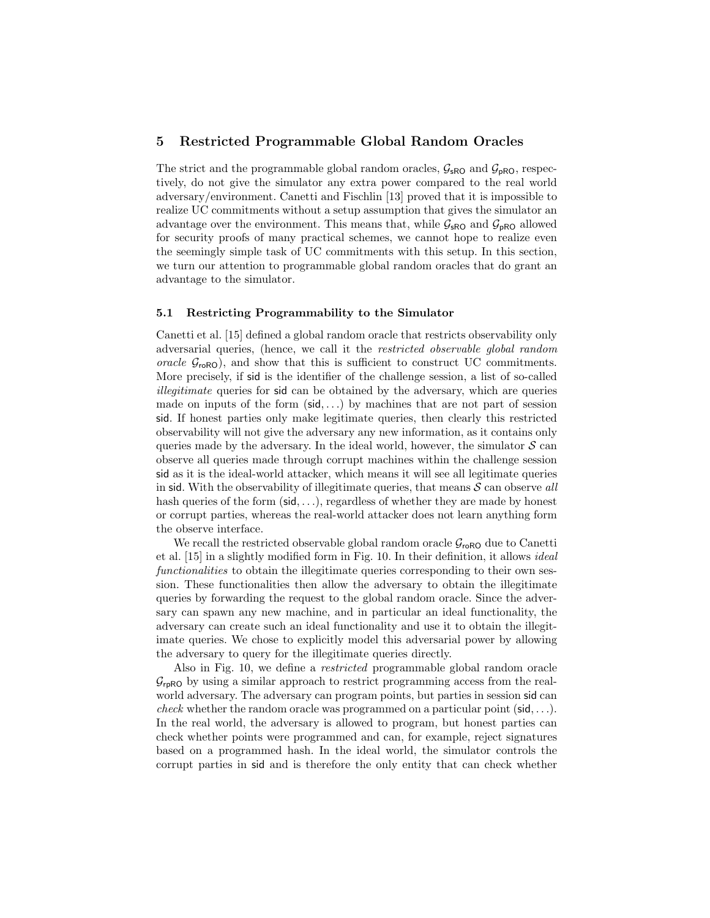## 5 Restricted Programmable Global Random Oracles

The strict and the programmable global random oracles,  $\mathcal{G}_{\text{sRO}}$  and  $\mathcal{G}_{\text{pRO}}$ , respectively, do not give the simulator any extra power compared to the real world adversary/environment. Canetti and Fischlin [13] proved that it is impossible to realize UC commitments without a setup assumption that gives the simulator an advantage over the environment. This means that, while  $\mathcal{G}_{\text{sRO}}$  and  $\mathcal{G}_{\text{pRO}}$  allowed for security proofs of many practical schemes, we cannot hope to realize even the seemingly simple task of UC commitments with this setup. In this section, we turn our attention to programmable global random oracles that do grant an advantage to the simulator.

#### 5.1 Restricting Programmability to the Simulator

Canetti et al. [15] defined a global random oracle that restricts observability only adversarial queries, (hence, we call it the restricted observable global random oracle  $\mathcal{G}_{\text{roRO}}$ , and show that this is sufficient to construct UC commitments. More precisely, if sid is the identifier of the challenge session, a list of so-called illegitimate queries for sid can be obtained by the adversary, which are queries made on inputs of the form  $(\text{sid}, \ldots)$  by machines that are not part of session sid. If honest parties only make legitimate queries, then clearly this restricted observability will not give the adversary any new information, as it contains only queries made by the adversary. In the ideal world, however, the simulator  $S$  can observe all queries made through corrupt machines within the challenge session sid as it is the ideal-world attacker, which means it will see all legitimate queries in sid. With the observability of illegitimate queries, that means  $S$  can observe all hash queries of the form  $(\text{sid}, \ldots)$ , regardless of whether they are made by honest or corrupt parties, whereas the real-world attacker does not learn anything form the observe interface.

We recall the restricted observable global random oracle  $\mathcal{G}_{\text{roRO}}$  due to Canetti et al. [15] in a slightly modified form in Fig. 10. In their definition, it allows ideal functionalities to obtain the illegitimate queries corresponding to their own session. These functionalities then allow the adversary to obtain the illegitimate queries by forwarding the request to the global random oracle. Since the adversary can spawn any new machine, and in particular an ideal functionality, the adversary can create such an ideal functionality and use it to obtain the illegitimate queries. We chose to explicitly model this adversarial power by allowing the adversary to query for the illegitimate queries directly.

Also in Fig. 10, we define a restricted programmable global random oracle  $G_{rpRO}$  by using a similar approach to restrict programming access from the realworld adversary. The adversary can program points, but parties in session sid can *check* whether the random oracle was programmed on a particular point  $(\text{sid}, \ldots)$ . In the real world, the adversary is allowed to program, but honest parties can check whether points were programmed and can, for example, reject signatures based on a programmed hash. In the ideal world, the simulator controls the corrupt parties in sid and is therefore the only entity that can check whether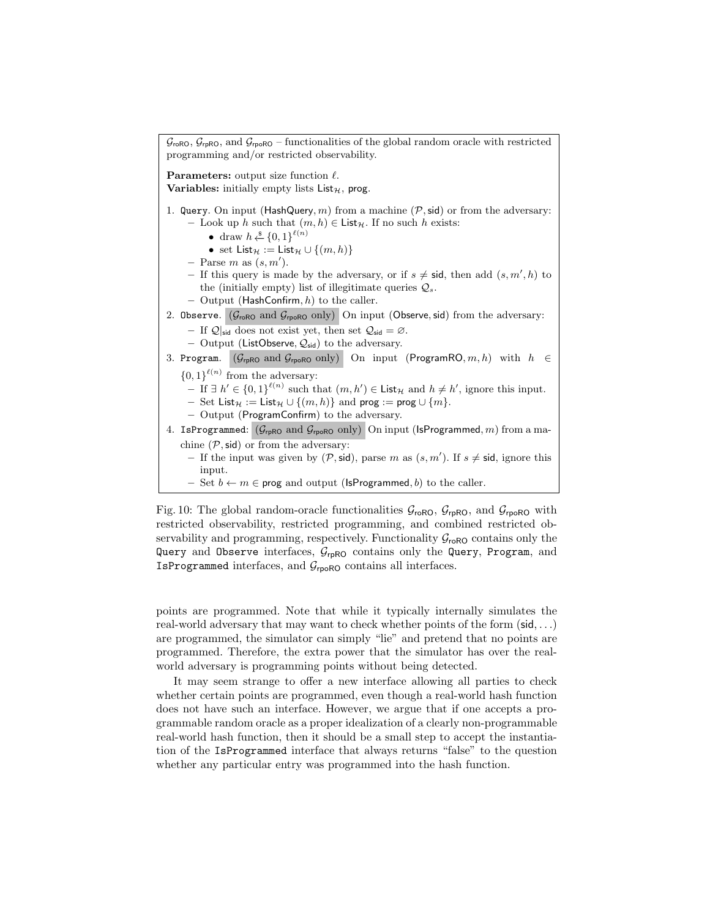

Fig. 10: The global random-oracle functionalities  $\mathcal{G}_{roRO}$ ,  $\mathcal{G}_{rpRO}$ , and  $\mathcal{G}_{rpoRO}$  with restricted observability, restricted programming, and combined restricted observability and programming, respectively. Functionality  $\mathcal{G}_{\text{roRO}}$  contains only the Query and Observe interfaces,  $G_{rpRO}$  contains only the Query, Program, and IsProgrammed interfaces, and  $G_{\text{rpoRO}}$  contains all interfaces.

points are programmed. Note that while it typically internally simulates the real-world adversary that may want to check whether points of the form  $(\text{sid}, \ldots)$ are programmed, the simulator can simply "lie" and pretend that no points are programmed. Therefore, the extra power that the simulator has over the realworld adversary is programming points without being detected.

It may seem strange to offer a new interface allowing all parties to check whether certain points are programmed, even though a real-world hash function does not have such an interface. However, we argue that if one accepts a programmable random oracle as a proper idealization of a clearly non-programmable real-world hash function, then it should be a small step to accept the instantiation of the IsProgrammed interface that always returns "false" to the question whether any particular entry was programmed into the hash function.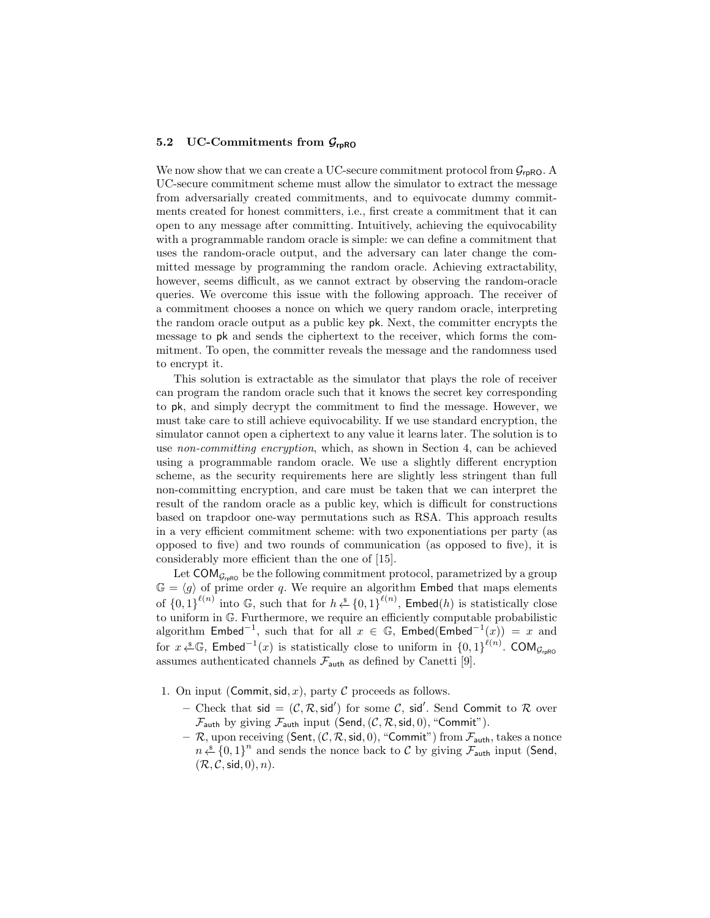## 5.2 UC-Commitments from  $\mathcal{G}_{\text{rpRO}}$

We now show that we can create a UC-secure commitment protocol from  $\mathcal{G}_{rpRO}$ . A UC-secure commitment scheme must allow the simulator to extract the message from adversarially created commitments, and to equivocate dummy commitments created for honest committers, i.e., first create a commitment that it can open to any message after committing. Intuitively, achieving the equivocability with a programmable random oracle is simple: we can define a commitment that uses the random-oracle output, and the adversary can later change the committed message by programming the random oracle. Achieving extractability, however, seems difficult, as we cannot extract by observing the random-oracle queries. We overcome this issue with the following approach. The receiver of a commitment chooses a nonce on which we query random oracle, interpreting the random oracle output as a public key pk. Next, the committer encrypts the message to pk and sends the ciphertext to the receiver, which forms the commitment. To open, the committer reveals the message and the randomness used to encrypt it.

This solution is extractable as the simulator that plays the role of receiver can program the random oracle such that it knows the secret key corresponding to pk, and simply decrypt the commitment to find the message. However, we must take care to still achieve equivocability. If we use standard encryption, the simulator cannot open a ciphertext to any value it learns later. The solution is to use non-committing encryption, which, as shown in Section 4, can be achieved using a programmable random oracle. We use a slightly different encryption scheme, as the security requirements here are slightly less stringent than full non-committing encryption, and care must be taken that we can interpret the result of the random oracle as a public key, which is difficult for constructions based on trapdoor one-way permutations such as RSA. This approach results in a very efficient commitment scheme: with two exponentiations per party (as opposed to five) and two rounds of communication (as opposed to five), it is considerably more efficient than the one of [15].

Let  $COM_{\mathcal{G}_{\text{reRO}}}$  be the following commitment protocol, parametrized by a group  $\mathbb{G} = \langle g \rangle$  of prime order q. We require an algorithm Embed that maps elements of  $\{0,1\}^{\ell(n)}$  into  $\mathbb{G},$  such that for  $h \stackrel{\hspace{0.1em}\mathsf{\scriptscriptstyle\$}}{\leftarrow} \{0,1\}^{\ell(n)},$   $\textsf{Embed}(h)$  is statistically close to uniform in G. Furthermore, we require an efficiently computable probabilistic algorithm  $\mathsf{Embed}^{-1}$ , such that for all  $x \in \mathbb{G}$ ,  $\mathsf{Embed}(\mathsf{Embed}^{-1}(x)) = x$  and for  $x \stackrel{\ast}{\leftarrow} \mathbb{G}$ ,  $\mathsf{Embed}^{-1}(x)$  is statistically close to uniform in  $\{0,1\}^{\ell(n)}$ .  $\mathsf{COM}_{\mathcal{G}_{\mathsf{rpRO}}}$ assumes authenticated channels  $\mathcal{F}_{\text{auth}}$  as defined by Canetti [9].

1. On input (Commit, sid, x), party  $C$  proceeds as follows.

- Check that  $sid = (\mathcal{C}, \mathcal{R}, sid')$  for some  $\mathcal{C}, sid'.$  Send Commit to  $\mathcal{R}$  over  $\mathcal{F}_{\text{auth}}$  by giving  $\mathcal{F}_{\text{auth}}$  input (Send,  $(\mathcal{C}, \mathcal{R}, \text{sid}, 0)$ , "Commit").
- R, upon receiving (Sent,  $(C, R, \text{sid}, 0)$ , "Commit") from  $\mathcal{F}_{\text{auth}}$ , takes a nonce  $n \stackrel{\circ}{\leftarrow} \{0,1\}^n$  and sends the nonce back to C by giving  $\mathcal{F}_{\text{auth}}$  input (Send,  $(\mathcal{R}, \mathcal{C}, \mathsf{sid}, 0), n).$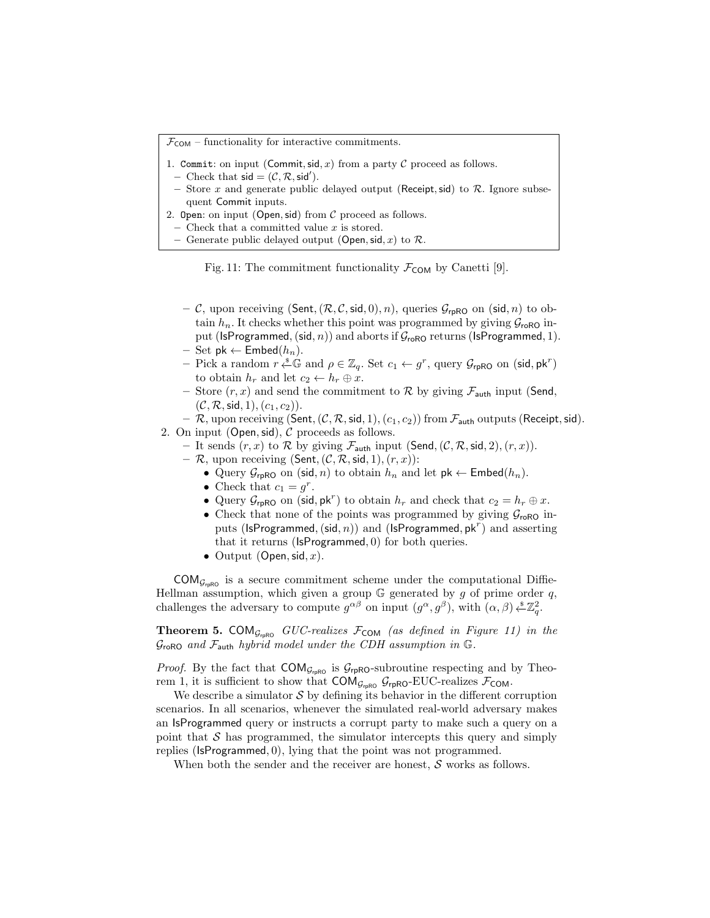$\mathcal{F}_{COM}$  – functionality for interactive commitments.

- 1. Commit: on input (Commit, sid, x) from a party  $C$  proceed as follows.
	- Check that  $sid = (\mathcal{C}, \mathcal{R}, sid').$
	- Store x and generate public delayed output (Receipt, sid) to  $\mathcal R$ . Ignore subsequent Commit inputs.
- 2. Open: on input (Open, sid) from  $C$  proceed as follows.

 $-$  Check that a committed value  $x$  is stored.

– Generate public delayed output (Open, sid, x) to  $\mathcal{R}$ .

Fig. 11: The commitment functionality  $\mathcal{F}_{COM}$  by Canetti [9].

- C, upon receiving (Sent,  $(\mathcal{R}, \mathcal{C}, \text{sid}, 0), n$ ), queries  $\mathcal{G}_{\text{rpRO}}$  on (sid, n) to obtain  $h_n$ . It checks whether this point was programmed by giving  $\mathcal{G}_{\text{roRO}}$  input (IsProgrammed, (sid, n)) and aborts if  $\mathcal{G}_{\text{roRO}}$  returns (IsProgrammed, 1).
- $-$  Set pk  $\leftarrow$  Embed $(h_n)$ .
- $-$  Pick a random  $r \stackrel{\circ}{\longleftarrow} \mathbb{G}$  and  $\rho \in \mathbb{Z}_q$ . Set  $c_1 \leftarrow g^r$ , query  $\mathcal{G}_{\mathsf{rpRO}}$  on (sid, pk<sup>r</sup>) to obtain  $h_r$  and let  $c_2 \leftarrow h_r \oplus x$ .
- Store  $(r, x)$  and send the commitment to R by giving  $\mathcal{F}_{\text{auth}}$  input (Send,  $(C, R, \text{sid}, 1), (c_1, c_2)).$
- $-$  R, upon receiving (Sent,  $(C, R, \text{sid}, 1), (c_1, c_2)$ ) from  $\mathcal{F}_{\mathsf{auth}}$  outputs (Receipt, sid).
- 2. On input (Open, sid),  $C$  proceeds as follows.
	- It sends  $(r, x)$  to  $\mathcal R$  by giving  $\mathcal F_{\text{auth}}$  input (Send,  $(\mathcal C, \mathcal R, \text{sid}, 2), (r, x)$ ).
	- $-\mathcal{R}$ , upon receiving (Sent,  $(\mathcal{C}, \mathcal{R}, \mathsf{sid}, 1), (r, x)$ ):
		- Query  $G_{\text{roRO}}$  on (sid, n) to obtain  $h_n$  and let  $\mathsf{pk} \leftarrow \mathsf{Embed}(h_n)$ .
		- Check that  $c_1 = g^r$ .
		- Query  $G_{\text{rpRO}}$  on (sid, pk<sup>r</sup>) to obtain  $h_r$  and check that  $c_2 = h_r \oplus x$ .
		- Check that none of the points was programmed by giving  $G_{\text{roRO}}$  inputs (IsProgrammed,  $(\text{sid}, n))$  and  $(\text{IsProgrammed}, \text{pk}^r)$  and asserting that it returns ( $lsProgrammed, 0$ ) for both queries.
		- Output (Open, sid, x).

 $COM_{\mathcal{G}_{mRO}}$  is a secure commitment scheme under the computational Diffie-Hellman assumption, which given a group  $\mathbb G$  generated by g of prime order q, challenges the adversary to compute  $g^{\alpha\beta}$  on input  $(g^{\alpha}, g^{\beta})$ , with  $(\alpha, \beta) \stackrel{\ast}{\leftarrow} \mathbb{Z}_q^2$ .

**Theorem 5.** COM<sub>G<sub>roRO</sub> GUC-realizes  $\mathcal{F}_{COM}$  (as defined in Figure 11) in the</sub>  $\mathcal{G}_{\text{roRO}}$  and  $\mathcal{F}_{\text{auth}}$  hybrid model under the CDH assumption in G.

*Proof.* By the fact that  $COM_{\mathcal{G}_{rpRO}}$  is  $\mathcal{G}_{rpRO}$ -subroutine respecting and by Theorem 1, it is sufficient to show that  $COM_{\mathcal{G}_{rpRO}}$   $\mathcal{G}_{rpRO}$ -EUC-realizes  $\mathcal{F}_{COM}$ .

We describe a simulator  $S$  by defining its behavior in the different corruption scenarios. In all scenarios, whenever the simulated real-world adversary makes an IsProgrammed query or instructs a corrupt party to make such a query on a point that  $\mathcal S$  has programmed, the simulator intercepts this query and simply replies (IsProgrammed, 0), lying that the point was not programmed.

When both the sender and the receiver are honest,  $S$  works as follows.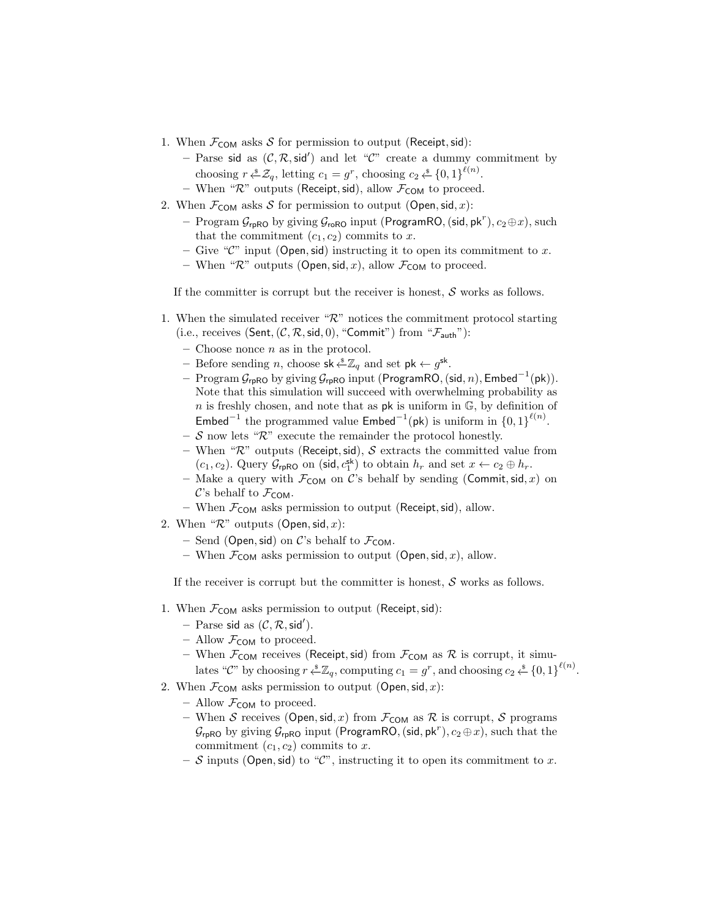- 1. When  $\mathcal{F}_{COM}$  asks S for permission to output (Receipt, sid):
	- Parse sid as  $(C, \mathcal{R}, \text{sid}')$  and let "C" create a dummy commitment by choosing  $r \stackrel{\$}{{\leftarrow}} Z_q$ , letting  $c_1 = g^r$ , choosing  $c_2 \stackrel{\$}{{\leftarrow}} \{0,1\}^{\ell(n)}$ .
	- When " $\mathcal{R}$ " outputs (Receipt, sid), allow  $\mathcal{F}_{COM}$  to proceed.
- 2. When  $\mathcal{F}_{COM}$  asks S for permission to output (Open, sid, x):
	- $-$  Program  $\mathcal{G}_{\mathsf{rpRO}}$  by giving  $\mathcal{G}_{\mathsf{roRO}}$  input (ProgramRO, (sid, pk<sup>r</sup>),  $c_2 \oplus x$ ), such that the commitment  $(c_1, c_2)$  commits to x.
	- Give " $\mathcal{C}$ " input (Open, sid) instructing it to open its commitment to x.
	- When " $\mathcal{R}$ " outputs (Open, sid, x), allow  $\mathcal{F}_{COM}$  to proceed.

If the committer is corrupt but the receiver is honest,  $S$  works as follows.

- 1. When the simulated receiver " $\mathcal{R}$ " notices the commitment protocol starting (i.e., receives (Sent,  $(C, \mathcal{R}, \text{sid}, 0)$ , "Commit") from " $\mathcal{F}_{\text{auth}}$ "):
	- Choose nonce  $n$  as in the protocol.
	- Before sending *n*, choose sk  $\xi \in \mathbb{Z}_q$  and set pk  $\xi$  g<sup>sk</sup>.
	- $-$  Program  $\mathcal{G}_{\mathsf{rpRO}}$  by giving  $\mathcal{G}_{\mathsf{rpRO}}$  input (ProgramRO, (sid, n), Embed $^{-1}$ (pk)). Note that this simulation will succeed with overwhelming probability as n is freshly chosen, and note that as  $pk$  is uniform in  $\mathbb{G}$ , by definition of Embed<sup>-1</sup> the programmed value  $\mathsf{Embed}^{-1}(\mathsf{pk})$  is uniform in  $\{0,1\}^{\ell(n)}$ .
	- $-$  S now lets " $\mathcal{R}$ " execute the remainder the protocol honestly.
	- When " $\mathcal{R}$ " outputs (Receipt, sid), S extracts the committed value from  $(c_1, c_2)$ . Query  $\mathcal{G}_{\mathsf{rpRO}}$  on  $(\mathsf{sid}, c_1^{\mathsf{sk}})$  to obtain  $h_r$  and set  $x \leftarrow c_2 \oplus h_r$ .
	- Make a query with  $\mathcal{F}_{COM}$  on  $\mathcal{C}'$ 's behalf by sending (Commit, sid, x) on  $\mathcal{C}$ 's behalf to  $\mathcal{F}_{COM}$ .
	- When  $\mathcal{F}_{COM}$  asks permission to output (Receipt, sid), allow.
- 2. When " $\mathcal{R}$ " outputs (Open, sid, x):
	- Send (Open, sid) on C's behalf to  $\mathcal{F}_{COM}$ .
	- When  $\mathcal{F}_{COM}$  asks permission to output (Open, sid, x), allow.

If the receiver is corrupt but the committer is honest,  $S$  works as follows.

- 1. When  $\mathcal{F}_{COM}$  asks permission to output (Receipt, sid):
	- Parse sid as  $(C, \mathcal{R}, \mathsf{sid}').$
	- Allow  $\mathcal{F}_{COM}$  to proceed.
	- When  $\mathcal{F}_{COM}$  receives (Receipt, sid) from  $\mathcal{F}_{COM}$  as  $\mathcal{R}$  is corrupt, it simulates "C" by choosing  $r \stackrel{\text{s}}{\leftarrow} \mathbb{Z}_q$ , computing  $c_1 = g^r$ , and choosing  $c_2 \stackrel{\text{s}}{\leftarrow} \{0,1\}^{\ell(n)}$ .
- 2. When  $\mathcal{F}_{COM}$  asks permission to output (Open, sid, x):
	- Allow  $\mathcal{F}_{COM}$  to proceed.
	- When S receives (Open, sid, x) from  $\mathcal{F}_{COM}$  as R is corrupt, S programs  $\mathcal{G}_{\mathsf{rpRO}}$  by giving  $\mathcal{G}_{\mathsf{rpRO}}$  input (ProgramRO, (sid, pk<sup>r</sup>),  $c_2 \oplus x$ ), such that the commitment  $(c_1, c_2)$  commits to x.
	- S inputs (Open, sid) to "C", instructing it to open its commitment to x.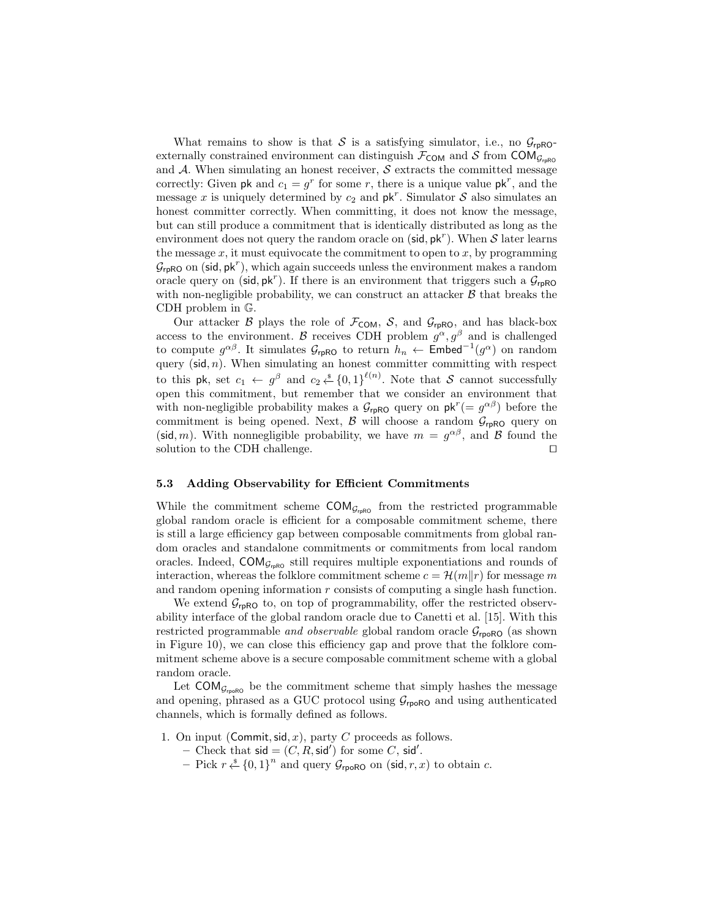What remains to show is that S is a satisfying simulator, i.e., no  $\mathcal{G}_{rpRO}$ externally constrained environment can distinguish  $\mathcal{F}_{COM}$  and S from COM $_{G_{mRO}}$ and  $A$ . When simulating an honest receiver,  $S$  extracts the committed message correctly: Given pk and  $c_1 = g^r$  for some r, there is a unique value pk<sup>r</sup>, and the message x is uniquely determined by  $c_2$  and  $\mathsf{pk}^r$ . Simulator S also simulates an honest committer correctly. When committing, it does not know the message, but can still produce a commitment that is identically distributed as long as the environment does not query the random oracle on  $(\mathsf{sid}, \mathsf{pk}^r)$ . When S later learns the message  $x$ , it must equivocate the commitment to open to  $x$ , by programming  $\mathcal{G}_{\mathsf{rpRO}}$  on (sid,  $\mathsf{pk}^r$ ), which again succeeds unless the environment makes a random oracle query on (sid,  $pk^{r}$ ). If there is an environment that triggers such a  $\mathcal{G}_{rpRO}$ with non-negligible probability, we can construct an attacker  $\beta$  that breaks the CDH problem in G.

Our attacker  $\beta$  plays the role of  $\mathcal{F}_{COM}$ ,  $\mathcal{S}$ , and  $\mathcal{G}_{rpRO}$ , and has black-box access to the environment. B receives CDH problem  $g^{\alpha}, g^{\beta}$  and is challenged to compute  $g^{\alpha\beta}$ . It simulates  $\mathcal{G}_{\text{rpRO}}$  to return  $h_n \leftarrow \text{Embed}^{-1}(g^{\alpha})$  on random query (sid, n). When simulating an honest committer committing with respect to this pk, set  $c_1 \leftarrow g^{\beta}$  and  $c_2 \leftarrow^{\$} \{0,1\}^{\ell(n)}$ . Note that S cannot successfully open this commitment, but remember that we consider an environment that with non-negligible probability makes a  $\mathcal{G}_{\text{rpRO}}$  query on  $\mathsf{pk}^r (= g^{\alpha\beta})$  before the commitment is being opened. Next,  $\beta$  will choose a random  $\mathcal{G}_{rpRO}$  query on (sid, m). With nonnegligible probability, we have  $m = g^{\alpha\beta}$ , and B found the solution to the CDH challenge.  $\Box$ 

#### 5.3 Adding Observability for Efficient Commitments

While the commitment scheme  $COM_{G_{rpRO}}$  from the restricted programmable global random oracle is efficient for a composable commitment scheme, there is still a large efficiency gap between composable commitments from global random oracles and standalone commitments or commitments from local random oracles. Indeed,  $\mathsf{COM}_{\mathcal{G}_{\sf npRO}}$  still requires multiple exponentiations and rounds of interaction, whereas the folklore commitment scheme  $c = \mathcal{H}(m||r)$  for message m and random opening information  $r$  consists of computing a single hash function.

We extend  $\mathcal{G}_{\text{rpRO}}$  to, on top of programmability, offer the restricted observability interface of the global random oracle due to Canetti et al. [15]. With this restricted programmable and observable global random oracle  $G_{\text{rpoRO}}$  (as shown in Figure 10), we can close this efficiency gap and prove that the folklore commitment scheme above is a secure composable commitment scheme with a global random oracle.

Let  $COM_{\mathcal{G}_{\text{mode}}}$  be the commitment scheme that simply hashes the message and opening, phrased as a GUC protocol using  $\mathcal{G}_{\text{rpoRO}}$  and using authenticated channels, which is formally defined as follows.

- 1. On input (Commit, sid, x), party C proceeds as follows.
	- Check that  $\mathsf{sid} = (C, R, \mathsf{sid}')$  for some C, sid'.
	- − Pick  $r \stackrel{\simeq}{\leftarrow} \{0,1\}^n$  and query  $\mathcal{G}_{\mathsf{rpoRO}}$  on (sid,  $r, x$ ) to obtain c.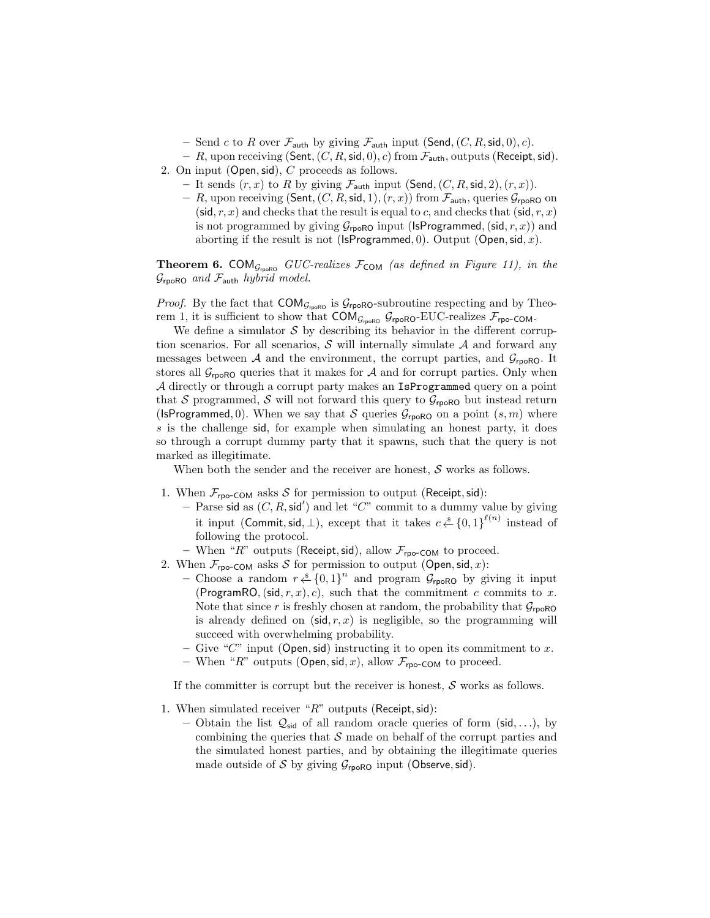– Send c to R over  $\mathcal{F}_{\mathsf{auth}}$  by giving  $\mathcal{F}_{\mathsf{auth}}$  input (Send,  $(C, R, \mathsf{sid}, 0), c$ ).

- $R$ , upon receiving (Sent,  $(C, R, \text{sid}, 0), c$ ) from  $\mathcal{F}_{\text{auth}}$ , outputs (Receipt, sid).
- 2. On input (Open, sid),  $C$  proceeds as follows.
	- It sends  $(r, x)$  to R by giving  $\mathcal{F}_{\text{auth}}$  input (Send,  $(C, R, \text{sid}, 2), (r, x)$ ).
	- R, upon receiving (Sent,  $(C, R, \text{sid}, 1), (r, x)$ ) from  $\mathcal{F}_{\text{auth}}$ , queries  $\mathcal{G}_{\text{rpoRO}}$  on (sid, r, x) and checks that the result is equal to c, and checks that (sid, r, x) is not programmed by giving  $G_{\text{rpoRO}}$  input (IsProgrammed, (sid, r, x)) and aborting if the result is not ( $ls$ Programmed, 0). Output (Open, sid, x).

**Theorem 6.** COM<sub>G<sub>rooRO</sub> GUC-realizes  $\mathcal{F}_{COM}$  (as defined in Figure 11), in the</sub>  $G_{\text{rpoRO}}$  and  $F_{\text{auth}}$  hybrid model.

*Proof.* By the fact that  $COM_{G_{\text{popRO}}}$  is  $G_{\text{ppoRO}}$ -subroutine respecting and by Theorem 1, it is sufficient to show that  $COM_{\mathcal{G}_{\text{rpoRO}}}$   $\mathcal{G}_{\text{rpoRO}}$ -EUC-realizes  $\mathcal{F}_{\text{rpo-COM}}$ .

We define a simulator  $S$  by describing its behavior in the different corruption scenarios. For all scenarios,  $S$  will internally simulate  $A$  and forward any messages between A and the environment, the corrupt parties, and  $\mathcal{G}_{\text{rpoRO}}$ . It stores all  $G_{\text{rpoRO}}$  queries that it makes for A and for corrupt parties. Only when A directly or through a corrupt party makes an IsProgrammed query on a point that S programmed, S will not forward this query to  $\mathcal{G}_{\text{rooRO}}$  but instead return (IsProgrammed, 0). When we say that S queries  $G_{\text{rpoRO}}$  on a point  $(s, m)$  where s is the challenge sid, for example when simulating an honest party, it does so through a corrupt dummy party that it spawns, such that the query is not marked as illegitimate.

When both the sender and the receiver are honest,  $S$  works as follows.

- 1. When  $\mathcal{F}_{\text{rpo-COM}}$  asks S for permission to output (Receipt, sid):
	- Parse sid as  $(C, R, \text{sid}')$  and let "C" commit to a dummy value by giving it input (Commit, sid,  $\perp$ ), except that it takes  $c \xleftarrow{\$} \{0,1\}^{\ell(n)}$  instead of following the protocol.
	- When "R" outputs (Receipt, sid), allow  $\mathcal{F}_{\text{rpo-COM}}$  to proceed.
- 2. When  $\mathcal{F}_{\text{rpo-COM}}$  asks S for permission to output (Open, sid, x):
	- − Choose a random  $r \stackrel{\ast}{\leftarrow} \{0,1\}^n$  and program  $\mathcal{G}_{\mathsf{rpoRO}}$  by giving it input (ProgramRO, (sid,  $r, x$ ),  $c$ ), such that the commitment c commits to x. Note that since r is freshly chosen at random, the probability that  $\mathcal{G}_{\text{rooRO}}$ is already defined on  $(\text{sid}, r, x)$  is negligible, so the programming will succeed with overwhelming probability.
	- Give "C" input (Open, sid) instructing it to open its commitment to x.
	- When "R" outputs (Open, sid, x), allow  $\mathcal{F}_{\text{rpo-COM}}$  to proceed.

If the committer is corrupt but the receiver is honest,  $S$  works as follows.

- 1. When simulated receiver " $R$ " outputs (Receipt, sid):
	- Obtain the list  $Q_{sid}$  of all random oracle queries of form (sid, ...), by combining the queries that  $\mathcal S$  made on behalf of the corrupt parties and the simulated honest parties, and by obtaining the illegitimate queries made outside of S by giving  $G_{\text{rpoRO}}$  input (Observe, sid).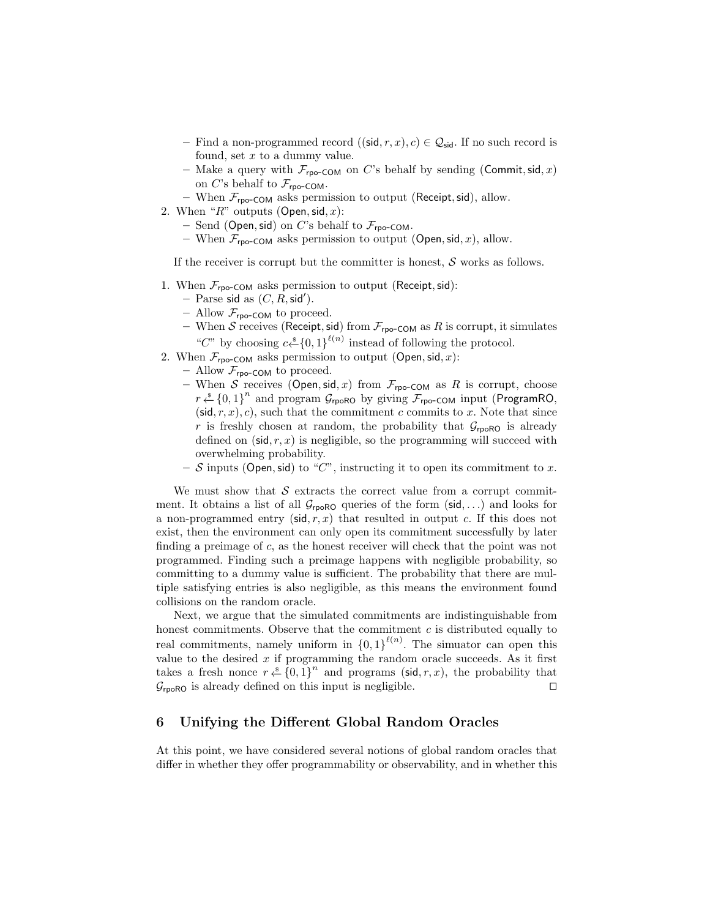- Find a non-programmed record ((sid, r, x), c)  $\in \mathcal{Q}_{\text{sid}}$ . If no such record is found, set  $x$  to a dummy value.
- Make a query with  $\mathcal{F}_{\text{rpo-COM}}$  on C's behalf by sending (Commit, sid, x) on C's behalf to  $\mathcal{F}_{\text{rpo-COM}}$ .
- When  $\mathcal{F}_{\text{rpo-COM}}$  asks permission to output (Receipt, sid), allow.
- 2. When " $R$ " outputs (Open, sid, x):
	- Send (Open, sid) on C's behalf to  $\mathcal{F}_{\text{ro-COM}}$ .
	- When  $\mathcal{F}_{\text{rpo-COM}}$  asks permission to output (Open, sid, x), allow.

If the receiver is corrupt but the committer is honest,  $S$  works as follows.

- 1. When  $\mathcal{F}_{\text{rpo-COM}}$  asks permission to output (Receipt, sid):
	- Parse sid as  $(C, R, \mathsf{sid}').$
	- Allow  $\mathcal{F}_{\text{rpo-COM}}$  to proceed.
	- When S receives (Receipt, sid) from  $\mathcal{F}_{\text{rpo-COM}}$  as R is corrupt, it simulates "C" by choosing  $c \stackrel{\ast}{\leftarrow} \{0, 1\}^{\ell(n)}$  instead of following the protocol.
- 2. When  $\mathcal{F}_{\text{rpo-COM}}$  asks permission to output (Open, sid, x):
	- Allow  $\mathcal{F}_{\text{rpo-COM}}$  to proceed.
	- When S receives (Open, sid, x) from  $\mathcal{F}_{\text{rpo-COM}}$  as R is corrupt, choose  $r \stackrel{\$}{\leftarrow} \{0,1\}^n$  and program  $\mathcal{G}_{\text{rpoRO}}$  by giving  $\mathcal{F}_{\text{rpo-COM}}$  input (ProgramRO,  $(\text{sid}, r, x), c)$ , such that the commitment c commits to x. Note that since r is freshly chosen at random, the probability that  $G_{\text{rooRO}}$  is already defined on  $(\text{sid}, r, x)$  is negligible, so the programming will succeed with overwhelming probability.
	- $\sim$  S inputs (Open, sid) to "C", instructing it to open its commitment to x.

We must show that  $S$  extracts the correct value from a corrupt commitment. It obtains a list of all  $\mathcal{G}_{\text{rpoRO}}$  queries of the form  $(\text{sid}, \ldots)$  and looks for a non-programmed entry  $(\text{sid}, r, x)$  that resulted in output c. If this does not exist, then the environment can only open its commitment successfully by later finding a preimage of c, as the honest receiver will check that the point was not programmed. Finding such a preimage happens with negligible probability, so committing to a dummy value is sufficient. The probability that there are multiple satisfying entries is also negligible, as this means the environment found collisions on the random oracle.

Next, we argue that the simulated commitments are indistinguishable from honest commitments. Observe that the commitment  $c$  is distributed equally to real commitments, namely uniform in  ${0,1}^{\ell(n)}$ . The simuator can open this value to the desired  $x$  if programming the random oracle succeeds. As it first takes a fresh nonce  $r \stackrel{s}{\leftarrow} \{0,1\}^n$  and programs (sid, r, x), the probability that  $G_{\text{rpoRO}}$  is already defined on this input is negligible.

## 6 Unifying the Different Global Random Oracles

At this point, we have considered several notions of global random oracles that differ in whether they offer programmability or observability, and in whether this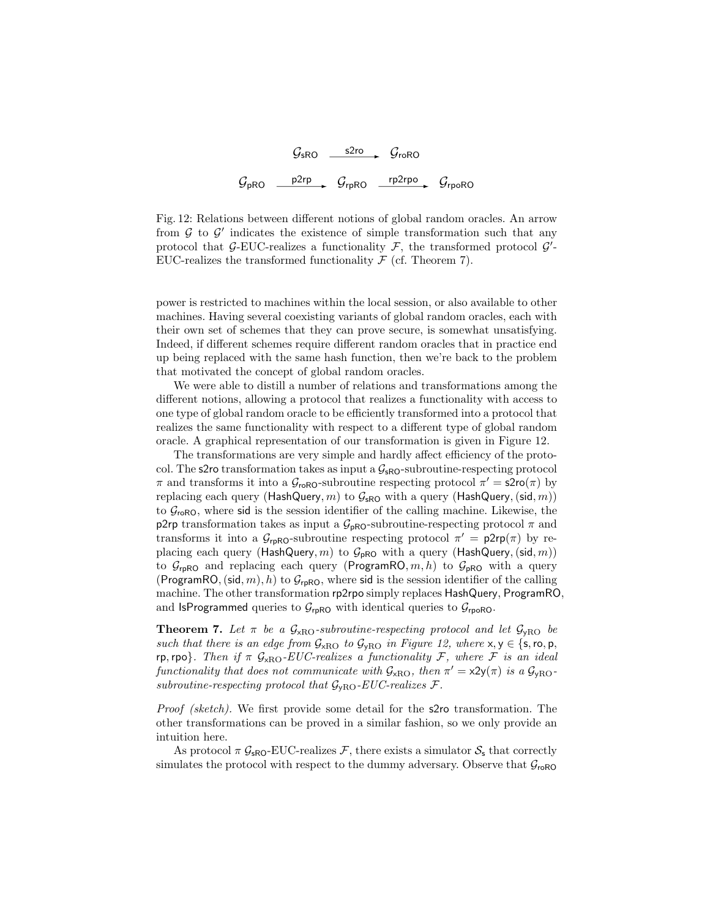

Fig. 12: Relations between different notions of global random oracles. An arrow from  $\mathcal G$  to  $\mathcal G'$  indicates the existence of simple transformation such that any protocol that G-EUC-realizes a functionality  $\mathcal{F}$ , the transformed protocol  $\mathcal{G}'$ -EUC-realizes the transformed functionality  $\mathcal F$  (cf. Theorem 7).

power is restricted to machines within the local session, or also available to other machines. Having several coexisting variants of global random oracles, each with their own set of schemes that they can prove secure, is somewhat unsatisfying. Indeed, if different schemes require different random oracles that in practice end up being replaced with the same hash function, then we're back to the problem that motivated the concept of global random oracles.

We were able to distill a number of relations and transformations among the different notions, allowing a protocol that realizes a functionality with access to one type of global random oracle to be efficiently transformed into a protocol that realizes the same functionality with respect to a different type of global random oracle. A graphical representation of our transformation is given in Figure 12.

The transformations are very simple and hardly affect efficiency of the protocol. The s2ro transformation takes as input a  $\mathcal{G}_{sRO}$ -subroutine-respecting protocol  $\pi$  and transforms it into a  $\mathcal{G}_{\text{roRO}}$ -subroutine respecting protocol  $\pi' = \text{s2ro}(\pi)$  by replacing each query (HashQuery, m) to  $\mathcal{G}_{sRO}$  with a query (HashQuery, (sid, m)) to  $\mathcal{G}_{roRO}$ , where sid is the session identifier of the calling machine. Likewise, the p2rp transformation takes as input a  $\mathcal{G}_{pRQ}$ -subroutine-respecting protocol  $\pi$  and transforms it into a  $\mathcal{G}_{\text{rpRO}}$ -subroutine respecting protocol  $\pi' = \text{p2rp}(\pi)$  by replacing each query (HashQuery, m) to  $\mathcal{G}_{pRQ}$  with a query (HashQuery, (sid, m)) to  $G_{rpRO}$  and replacing each query (ProgramRO, m, h) to  $G_{pRO}$  with a query (ProgramRO, (sid, m), h) to  $G_{\text{rpRO}}$ , where sid is the session identifier of the calling machine. The other transformation rp2rpo simply replaces HashQuery, ProgramRO, and IsProgrammed queries to  $G_{rpRQ}$  with identical queries to  $G_{rpQ}$ .

**Theorem 7.** Let  $\pi$  be a  $\mathcal{G}_{\text{XRO}}$ -subroutine-respecting protocol and let  $\mathcal{G}_{\text{YRO}}$  be such that there is an edge from  $\mathcal{G}_{xRO}$  to  $\mathcal{G}_{yRO}$  in Figure 12, where  $x, y \in \{\textsf{s}, \textsf{ro}, \textsf{p},\}$ rp, rpo}. Then if  $\pi$   $\mathcal{G}_{\text{XRO}}$ -EUC-realizes a functionality F, where F is an ideal functionality that does not communicate with  $\mathcal{G}_{\text{XRO}}$ , then  $\pi' = \text{X2y}(\pi)$  is a  $\mathcal{G}_{\text{YRO}}$ subroutine-respecting protocol that  $\mathcal{G}_{\text{VRO}}$ -EUC-realizes F.

Proof (sketch). We first provide some detail for the s2ro transformation. The other transformations can be proved in a similar fashion, so we only provide an intuition here.

As protocol  $\pi$   $\mathcal{G}_{\text{SRO}}$ -EUC-realizes  $\mathcal{F}$ , there exists a simulator  $\mathcal{S}_{\text{s}}$  that correctly simulates the protocol with respect to the dummy adversary. Observe that  $\mathcal{G}_{\text{roRO}}$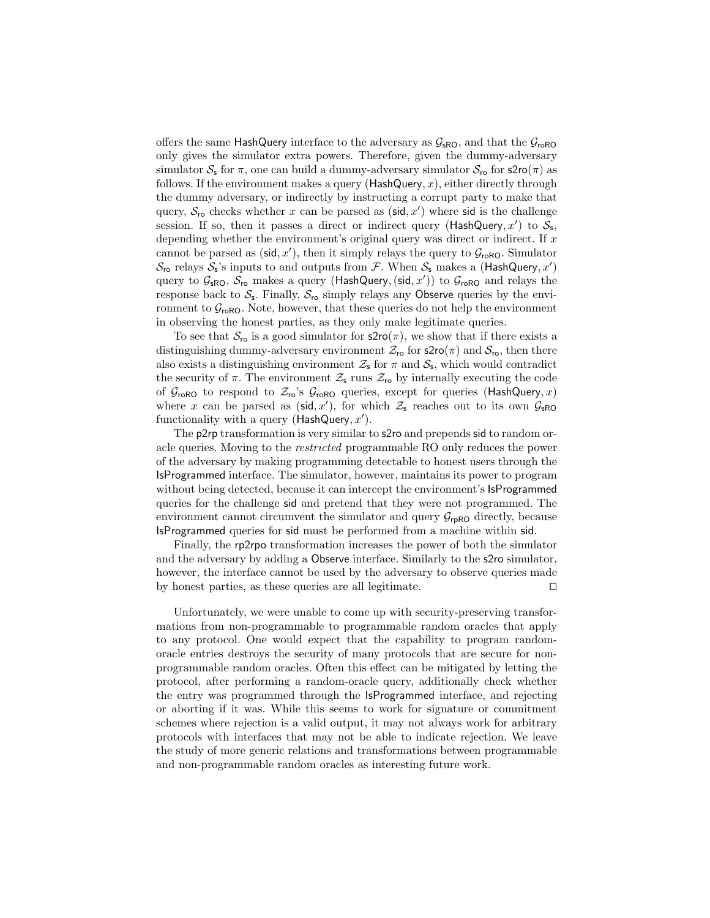offers the same HashQuery interface to the adversary as  $\mathcal{G}_{\text{SRO}}$ , and that the  $\mathcal{G}_{\text{roRO}}$ only gives the simulator extra powers. Therefore, given the dummy-adversary simulator  $S_s$  for  $\pi$ , one can build a dummy-adversary simulator  $S_{r0}$  for  $s2r\sigma(\pi)$  as follows. If the environment makes a query ( $\textsf{HashQuery}, x$ ), either directly through the dummy adversary, or indirectly by instructing a corrupt party to make that query,  $S_{\text{ro}}$  checks whether x can be parsed as  $(\text{sid}, x')$  where sid is the challenge session. If so, then it passes a direct or indirect query (HashQuery,  $x'$ ) to  $S_s$ , depending whether the environment's original query was direct or indirect. If  $x$ cannot be parsed as  $(\text{sid}, x')$ , then it simply relays the query to  $\mathcal{G}_{\text{roRO}}$ . Simulator  $S_{\text{ro}}$  relays  $S_{\text{s}}$ 's inputs to and outputs from  $\mathcal{F}$ . When  $S_{\text{s}}$  makes a (HashQuery, x') query to  $\mathcal{G}_{\mathsf{SRO}}, \, \mathcal{S}_{\mathsf{ro}}$  makes a query (HashQuery, (sid, x')) to  $\mathcal{G}_{\mathsf{roRO}}$  and relays the response back to  $S_s$ . Finally,  $S_{\text{ro}}$  simply relays any Observe queries by the environment to  $\mathcal{G}_{\text{roRO}}$ . Note, however, that these queries do not help the environment in observing the honest parties, as they only make legitimate queries.

To see that  $S_{r_0}$  is a good simulator for  $s2r_0(\pi)$ , we show that if there exists a distinguishing dummy-adversary environment  $\mathcal{Z}_{\text{ro}}$  for  $s2\text{ro}(\pi)$  and  $\mathcal{S}_{\text{ro}}$ , then there also exists a distinguishing environment  $\mathcal{Z}_s$  for  $\pi$  and  $\mathcal{S}_s$ , which would contradict the security of  $\pi$ . The environment  $\mathcal{Z}_s$  runs  $\mathcal{Z}_{ro}$  by internally executing the code of  $G_{\text{roRO}}$  to respond to  $\mathcal{Z}_{\text{ro}}$ 's  $G_{\text{roRO}}$  queries, except for queries (HashQuery, x) where x can be parsed as (sid, x'), for which  $\mathcal{Z}_s$  reaches out to its own  $\mathcal{G}_{sRO}$ functionality with a query (HashQuery,  $x'$ ).

The p2rp transformation is very similar to s2ro and prepends sid to random oracle queries. Moving to the restricted programmable RO only reduces the power of the adversary by making programming detectable to honest users through the IsProgrammed interface. The simulator, however, maintains its power to program without being detected, because it can intercept the environment's **IsProgrammed** queries for the challenge sid and pretend that they were not programmed. The environment cannot circumvent the simulator and query  $\mathcal{G}_{\text{roRO}}$  directly, because IsProgrammed queries for sid must be performed from a machine within sid.

Finally, the rp2rpo transformation increases the power of both the simulator and the adversary by adding a Observe interface. Similarly to the s2ro simulator, however, the interface cannot be used by the adversary to observe queries made by honest parties, as these queries are all legitimate.  $\Box$ 

Unfortunately, we were unable to come up with security-preserving transformations from non-programmable to programmable random oracles that apply to any protocol. One would expect that the capability to program randomoracle entries destroys the security of many protocols that are secure for nonprogrammable random oracles. Often this effect can be mitigated by letting the protocol, after performing a random-oracle query, additionally check whether the entry was programmed through the IsProgrammed interface, and rejecting or aborting if it was. While this seems to work for signature or commitment schemes where rejection is a valid output, it may not always work for arbitrary protocols with interfaces that may not be able to indicate rejection. We leave the study of more generic relations and transformations between programmable and non-programmable random oracles as interesting future work.